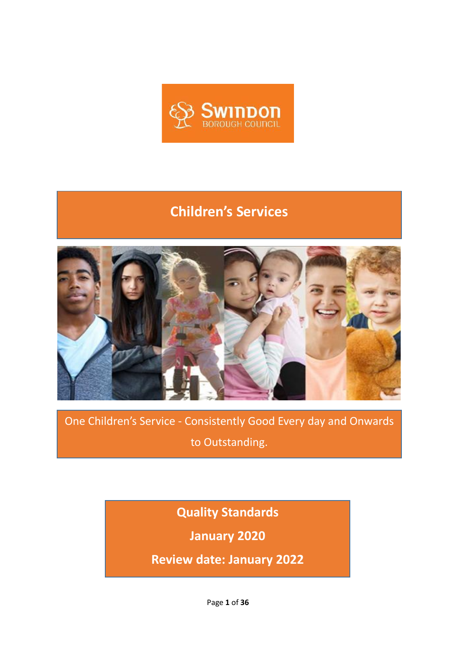

## **Children's Services**



One Children's Service - Consistently Good Every day and Onwards to Outstanding.

**Quality Standards**

**January 2020**

**Review date: January 2022**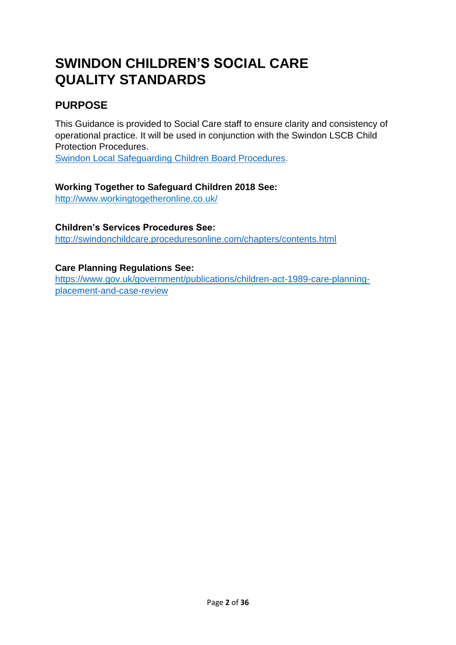# **SWINDON CHILDREN'S SOCIAL CARE QUALITY STANDARDS**

## **PURPOSE**

This Guidance is provided to Social Care staff to ensure clarity and consistency of operational practice. It will be used in conjunction with the Swindon LSCB Child Protection Procedures.

[Swindon Local Safeguarding Children Board Procedures.](http://www.swindonlscb.org.uk/)

#### **Working Together to Safeguard Children 2018 See:**

<http://www.workingtogetheronline.co.uk/>

#### **Children's Services Procedures See:**

<http://swindonchildcare.proceduresonline.com/chapters/contents.html>

#### **Care Planning Regulations See:**

[https://www.gov.uk/government/publications/children-act-1989-care-planning](https://www.gov.uk/government/publications/children-act-1989-care-planning-placement-and-case-review)[placement-and-case-review](https://www.gov.uk/government/publications/children-act-1989-care-planning-placement-and-case-review)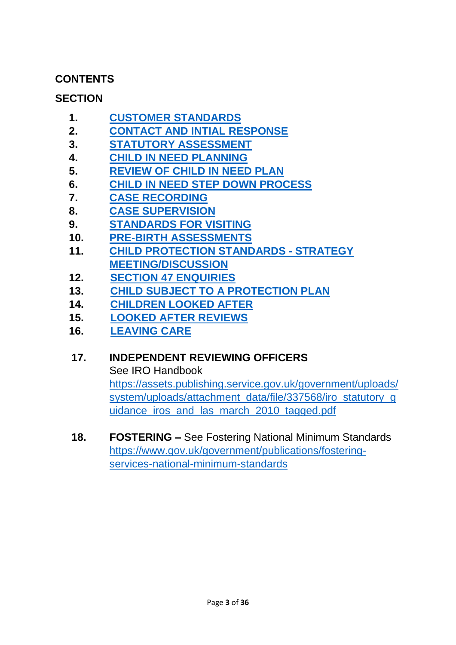### **CONTENTS**

## **SECTION**

- **1. [CUSTOMER STANDARDS](#page-3-0)**
- **2. [CONTACT AND INTIAL RESPONSE](#page-3-1)**
- **3. STATUTORY [ASSESSMENT](#page-6-0)**
- **4. [CHILD IN NEED PLANNING](#page-11-0)**
- **5. [REVIEW OF CHILD IN NEED PLAN](#page-12-0)**
- **6. [CHILD IN NEED STEP DOWN PROCESS](#page-14-0)**
- **7. [CASE RECORDING](#page-15-0)**
- **8. [CASE SUPERVISION](#page-16-0)**
- **9. [STANDARDS FOR VISITING](#page-17-0)**
- **10. [PRE-BIRTH ASSESSMENTS](#page-18-0)**
- **11. [CHILD PROTECTION STANDARDS -](#page-20-0) STRATEGY [MEETING/DISCUSSION](#page-20-0)**
- **12. [SECTION 47 ENQUIRIES](#page-21-0)**
- **13. CHILD SUBJECT TO A [PROTECTION PLAN](#page-24-0)**
- **14. [CHILDREN LOOKED AFTER](#page-28-0)**
- **15. [LOOKED AFTER REVIEWS](#page-32-0)**
- **16. [LEAVING](#page-33-0) CARE**

### **17. INDEPENDENT REVIEWING OFFICERS**

See IRO Handbook

[https://assets.publishing.service.gov.uk/government/uploads/](https://assets.publishing.service.gov.uk/government/uploads/system/uploads/attachment_data/file/337568/iro_statutory_guidance_iros_and_las_march_2010_tagged.pdf) system/uploads/attachment\_data/file/337568/iro\_statutory\_q uidance iros and las march 2010 tagged.pdf

**18. FOSTERING –** See Fostering National Minimum Standards [https://www.gov.uk/government/publications/fostering](https://www.gov.uk/government/publications/fostering-services-national-minimum-standards)[services-national-minimum-standards](https://www.gov.uk/government/publications/fostering-services-national-minimum-standards)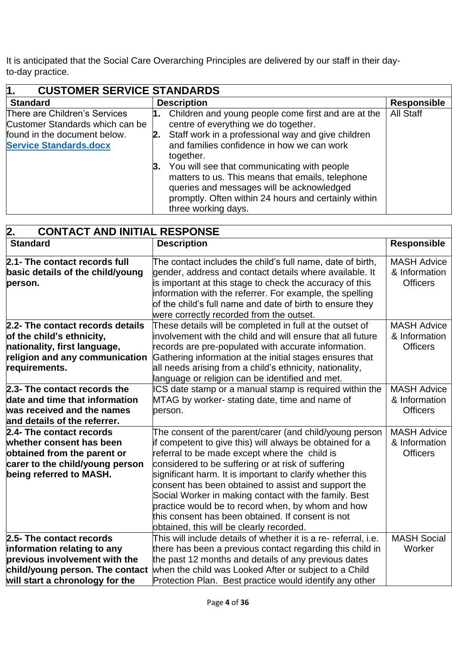It is anticipated that the Social Care Overarching Principles are delivered by our staff in their dayto-day practice.

<span id="page-3-0"></span>

| $\mathsf{M}$ .<br><b>CUSTOMER SERVICE STANDARDS</b>                                                                               |                                                                                                                                                                                                                                |                    |
|-----------------------------------------------------------------------------------------------------------------------------------|--------------------------------------------------------------------------------------------------------------------------------------------------------------------------------------------------------------------------------|--------------------|
| <b>Standard</b>                                                                                                                   | <b>Description</b>                                                                                                                                                                                                             | <b>Responsible</b> |
| There are Children's Services<br>Customer Standards which can be<br>found in the document below.<br><b>Service Standards.docx</b> | 1. Children and young people come first and are at the<br>centre of everything we do together.<br>2. Staff work in a professional way and give children<br>and families confidence in how we can work<br>together.             | <b>All Staff</b>   |
|                                                                                                                                   | 3. You will see that communicating with people<br>matters to us. This means that emails, telephone<br>queries and messages will be acknowledged<br>promptly. Often within 24 hours and certainly within<br>three working days. |                    |

<span id="page-3-1"></span>

| 2.<br><b>CONTACT AND INITIAL RESPONSE</b> |                                                                 |                    |
|-------------------------------------------|-----------------------------------------------------------------|--------------------|
| <b>Standard</b>                           | <b>Description</b>                                              | <b>Responsible</b> |
| 2.1- The contact records full             | The contact includes the child's full name, date of birth,      | <b>MASH Advice</b> |
| basic details of the child/young          | gender, address and contact details where available. It         | & Information      |
| person.                                   | is important at this stage to check the accuracy of this        | <b>Officers</b>    |
|                                           | information with the referrer. For example, the spelling        |                    |
|                                           | of the child's full name and date of birth to ensure they       |                    |
|                                           | were correctly recorded from the outset.                        |                    |
| 2.2- The contact records details          | These details will be completed in full at the outset of        | <b>MASH Advice</b> |
| of the child's ethnicity,                 | involvement with the child and will ensure that all future      | & Information      |
| nationality, first language,              | records are pre-populated with accurate information.            | <b>Officers</b>    |
| religion and any communication            | Gathering information at the initial stages ensures that        |                    |
| requirements.                             | all needs arising from a child's ethnicity, nationality,        |                    |
|                                           | language or religion can be identified and met.                 |                    |
| 2.3- The contact records the              | ICS date stamp or a manual stamp is required within the         | <b>MASH Advice</b> |
| date and time that information            | MTAG by worker- stating date, time and name of                  | & Information      |
| was received and the names                | person.                                                         | <b>Officers</b>    |
| and details of the referrer.              |                                                                 |                    |
| 2.4- The contact records                  | The consent of the parent/carer (and child/young person         | <b>MASH Advice</b> |
| whether consent has been                  | if competent to give this) will always be obtained for a        | & Information      |
| obtained from the parent or               | referral to be made except where the child is                   | <b>Officers</b>    |
| carer to the child/young person           | considered to be suffering or at risk of suffering              |                    |
| being referred to MASH.                   | significant harm. It is important to clarify whether this       |                    |
|                                           | consent has been obtained to assist and support the             |                    |
|                                           | Social Worker in making contact with the family. Best           |                    |
|                                           | practice would be to record when, by whom and how               |                    |
|                                           | this consent has been obtained. If consent is not               |                    |
|                                           | obtained, this will be clearly recorded.                        |                    |
| 2.5- The contact records                  | This will include details of whether it is a re- referral, i.e. | <b>MASH Social</b> |
| information relating to any               | there has been a previous contact regarding this child in       | Worker             |
| previous involvement with the             | the past 12 months and details of any previous dates            |                    |
| child/young person. The contact           | when the child was Looked After or subject to a Child           |                    |
| will start a chronology for the           | Protection Plan. Best practice would identify any other         |                    |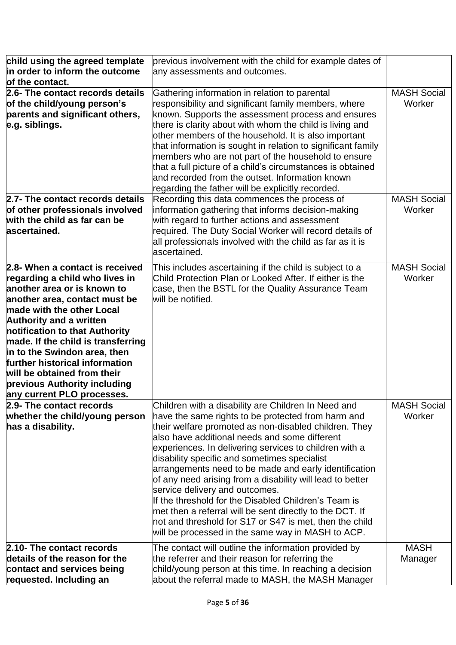| child using the agreed template<br>in order to inform the outcome<br>of the contact.                                                                                                                                                                                                                                                                                                                                                    | previous involvement with the child for example dates of<br>any assessments and outcomes.                                                                                                                                                                                                                                                                                                                                                                                                                                                                                                                                                                                                                                 |                              |
|-----------------------------------------------------------------------------------------------------------------------------------------------------------------------------------------------------------------------------------------------------------------------------------------------------------------------------------------------------------------------------------------------------------------------------------------|---------------------------------------------------------------------------------------------------------------------------------------------------------------------------------------------------------------------------------------------------------------------------------------------------------------------------------------------------------------------------------------------------------------------------------------------------------------------------------------------------------------------------------------------------------------------------------------------------------------------------------------------------------------------------------------------------------------------------|------------------------------|
| 2.6- The contact records details<br>of the child/young person's<br>parents and significant others,<br>e.g. siblings.                                                                                                                                                                                                                                                                                                                    | Gathering information in relation to parental<br>responsibility and significant family members, where<br>known. Supports the assessment process and ensures<br>there is clarity about with whom the child is living and<br>other members of the household. It is also important<br>that information is sought in relation to significant family<br>members who are not part of the household to ensure<br>that a full picture of a child's circumstances is obtained<br>and recorded from the outset. Information known<br>regarding the father will be explicitly recorded.                                                                                                                                              | <b>MASH Social</b><br>Worker |
| 2.7- The contact records details<br>of other professionals involved<br>with the child as far can be<br>ascertained.                                                                                                                                                                                                                                                                                                                     | Recording this data commences the process of<br>information gathering that informs decision-making<br>with regard to further actions and assessment<br>required. The Duty Social Worker will record details of<br>all professionals involved with the child as far as it is<br>ascertained.                                                                                                                                                                                                                                                                                                                                                                                                                               | <b>MASH Social</b><br>Worker |
| 2.8- When a contact is received<br>regarding a child who lives in<br>another area or is known to<br>another area, contact must be<br>made with the other Local<br><b>Authority and a written</b><br>notification to that Authority<br>made. If the child is transferring<br>in to the Swindon area, then<br>further historical information<br>will be obtained from their<br>previous Authority including<br>any current PLO processes. | This includes ascertaining if the child is subject to a<br>Child Protection Plan or Looked After. If either is the<br>case, then the BSTL for the Quality Assurance Team<br>will be notified.                                                                                                                                                                                                                                                                                                                                                                                                                                                                                                                             | <b>MASH Social</b><br>Worker |
| 2.9- The contact records<br>whether the child/young person<br>has a disability.                                                                                                                                                                                                                                                                                                                                                         | Children with a disability are Children In Need and<br>have the same rights to be protected from harm and<br>their welfare promoted as non-disabled children. They<br>also have additional needs and some different<br>experiences. In delivering services to children with a<br>disability specific and sometimes specialist<br>arrangements need to be made and early identification<br>of any need arising from a disability will lead to better<br>service delivery and outcomes.<br>If the threshold for the Disabled Children's Team is<br>met then a referral will be sent directly to the DCT. If<br>not and threshold for S17 or S47 is met, then the child<br>will be processed in the same way in MASH to ACP. | <b>MASH Social</b><br>Worker |
| 2.10- The contact records<br>details of the reason for the<br>contact and services being<br>requested. Including an                                                                                                                                                                                                                                                                                                                     | The contact will outline the information provided by<br>the referrer and their reason for referring the<br>child/young person at this time. In reaching a decision<br>about the referral made to MASH, the MASH Manager                                                                                                                                                                                                                                                                                                                                                                                                                                                                                                   | <b>MASH</b><br>Manager       |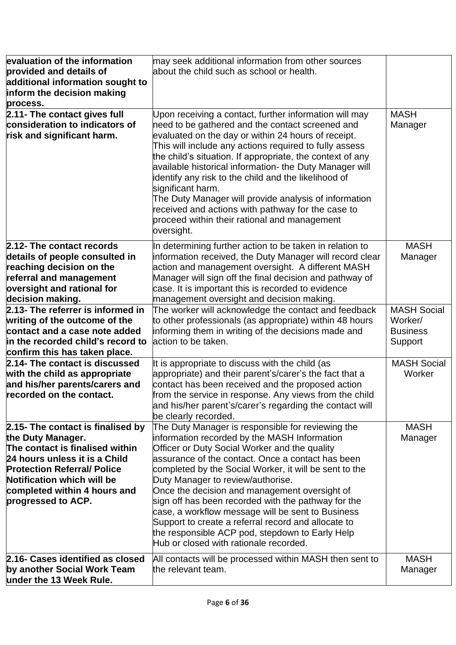| evaluation of the information<br>provided and details of<br>additional information sought to<br>inform the decision making<br>process.                                                                                                               | may seek additional information from other sources<br>about the child such as school or health.                                                                                                                                                                                                                                                                                                                                                                                                                                                                                                                         |                                                             |
|------------------------------------------------------------------------------------------------------------------------------------------------------------------------------------------------------------------------------------------------------|-------------------------------------------------------------------------------------------------------------------------------------------------------------------------------------------------------------------------------------------------------------------------------------------------------------------------------------------------------------------------------------------------------------------------------------------------------------------------------------------------------------------------------------------------------------------------------------------------------------------------|-------------------------------------------------------------|
| 2.11- The contact gives full<br>consideration to indicators of<br>risk and significant harm.                                                                                                                                                         | Upon receiving a contact, further information will may<br>need to be gathered and the contact screened and<br>evaluated on the day or within 24 hours of receipt.<br>This will include any actions required to fully assess<br>the child's situation. If appropriate, the context of any<br>available historical information- the Duty Manager will<br>identify any risk to the child and the likelihood of<br>significant harm.<br>The Duty Manager will provide analysis of information<br>received and actions with pathway for the case to<br>proceed within their rational and management<br>oversight.            | <b>MASH</b><br>Manager                                      |
| 2.12- The contact records<br>details of people consulted in<br>reaching decision on the<br>referral and management<br>oversight and rational for<br>decision making.                                                                                 | In determining further action to be taken in relation to<br>information received, the Duty Manager will record clear<br>action and management oversight. A different MASH<br>Manager will sign off the final decision and pathway of<br>case. It is important this is recorded to evidence<br>management oversight and decision making.                                                                                                                                                                                                                                                                                 | <b>MASH</b><br>Manager                                      |
| 2.13- The referrer is informed in<br>writing of the outcome of the<br>contact and a case note added<br>in the recorded child's record to<br>confirm this has taken place.                                                                            | The worker will acknowledge the contact and feedback<br>to other professionals (as appropriate) within 48 hours<br>informing them in writing of the decisions made and<br>action to be taken.                                                                                                                                                                                                                                                                                                                                                                                                                           | <b>MASH Social</b><br>Worker/<br><b>Business</b><br>Support |
| 2.14- The contact is discussed<br>with the child as appropriate<br>and his/her parents/carers and<br>recorded on the contact.                                                                                                                        | It is appropriate to discuss with the child (as<br>appropriate) and their parent's/carer's the fact that a<br>contact has been received and the proposed action<br>from the service in response. Any views from the child<br>and his/her parent's/carer's regarding the contact will<br>be clearly recorded.                                                                                                                                                                                                                                                                                                            | <b>MASH Social</b><br>Worker                                |
| 2.15- The contact is finalised by<br>the Duty Manager.<br>The contact is finalised within<br>24 hours unless it is a Child<br><b>Protection Referral/ Police</b><br>Notification which will be<br>completed within 4 hours and<br>progressed to ACP. | The Duty Manager is responsible for reviewing the<br>information recorded by the MASH Information<br>Officer or Duty Social Worker and the quality<br>assurance of the contact. Once a contact has been<br>completed by the Social Worker, it will be sent to the<br>Duty Manager to review/authorise.<br>Once the decision and management oversight of<br>sign off has been recorded with the pathway for the<br>case, a workflow message will be sent to Business<br>Support to create a referral record and allocate to<br>the responsible ACP pod, stepdown to Early Help<br>Hub or closed with rationale recorded. | <b>MASH</b><br>Manager                                      |
| 2.16- Cases identified as closed<br>by another Social Work Team<br>under the 13 Week Rule.                                                                                                                                                           | All contacts will be processed within MASH then sent to<br>the relevant team.                                                                                                                                                                                                                                                                                                                                                                                                                                                                                                                                           | <b>MASH</b><br>Manager                                      |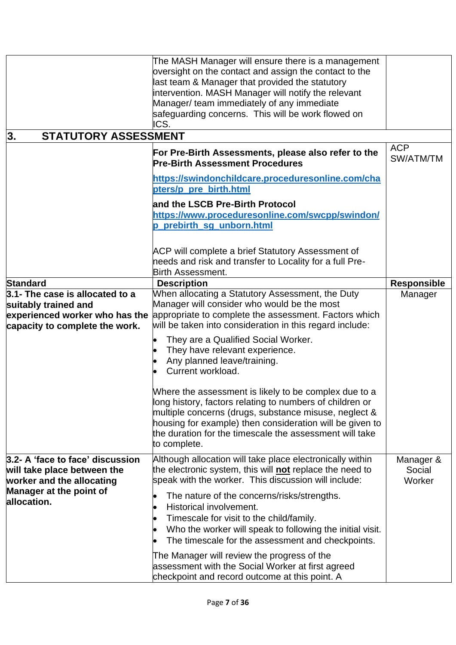<span id="page-6-0"></span>

|                                                                                                                             | The MASH Manager will ensure there is a management<br>oversight on the contact and assign the contact to the<br>last team & Manager that provided the statutory<br>intervention. MASH Manager will notify the relevant<br>Manager/ team immediately of any immediate<br>safeguarding concerns. This will be work flowed on<br>ICS. |                               |
|-----------------------------------------------------------------------------------------------------------------------------|------------------------------------------------------------------------------------------------------------------------------------------------------------------------------------------------------------------------------------------------------------------------------------------------------------------------------------|-------------------------------|
| <b>STATUTORY ASSESSMENT</b><br>3.                                                                                           |                                                                                                                                                                                                                                                                                                                                    |                               |
|                                                                                                                             | For Pre-Birth Assessments, please also refer to the<br><b>Pre-Birth Assessment Procedures</b>                                                                                                                                                                                                                                      | <b>ACP</b><br>SW/ATM/TM       |
|                                                                                                                             | https://swindonchildcare.proceduresonline.com/cha<br>pters/p_pre_birth.html                                                                                                                                                                                                                                                        |                               |
|                                                                                                                             | and the LSCB Pre-Birth Protocol<br>https://www.proceduresonline.com/swcpp/swindon/<br>prebirth sg unborn.html                                                                                                                                                                                                                      |                               |
|                                                                                                                             | ACP will complete a brief Statutory Assessment of<br>needs and risk and transfer to Locality for a full Pre-<br><b>Birth Assessment.</b>                                                                                                                                                                                           |                               |
| <b>Standard</b>                                                                                                             | <b>Description</b>                                                                                                                                                                                                                                                                                                                 | <b>Responsible</b>            |
| 3.1- The case is allocated to a<br>suitably trained and<br>experienced worker who has the<br>capacity to complete the work. | When allocating a Statutory Assessment, the Duty<br>Manager will consider who would be the most<br>appropriate to complete the assessment. Factors which<br>will be taken into consideration in this regard include:                                                                                                               | Manager                       |
|                                                                                                                             | They are a Qualified Social Worker.<br>They have relevant experience.<br>Any planned leave/training.<br>Current workload.                                                                                                                                                                                                          |                               |
|                                                                                                                             | Where the assessment is likely to be complex due to a<br>long history, factors relating to numbers of children or<br>multiple concerns (drugs, substance misuse, neglect &<br>housing for example) then consideration will be given to<br>the duration for the timescale the assessment will take<br>to complete.                  |                               |
| 3.2- A 'face to face' discussion<br>will take place between the<br>worker and the allocating                                | Although allocation will take place electronically within<br>the electronic system, this will not replace the need to<br>speak with the worker. This discussion will include:                                                                                                                                                      | Manager &<br>Social<br>Worker |
| Manager at the point of<br>allocation.                                                                                      | The nature of the concerns/risks/strengths.<br>Historical involvement.<br>Timescale for visit to the child/family.<br>Who the worker will speak to following the initial visit.<br>The timescale for the assessment and checkpoints.                                                                                               |                               |
|                                                                                                                             | The Manager will review the progress of the<br>assessment with the Social Worker at first agreed<br>checkpoint and record outcome at this point. A                                                                                                                                                                                 |                               |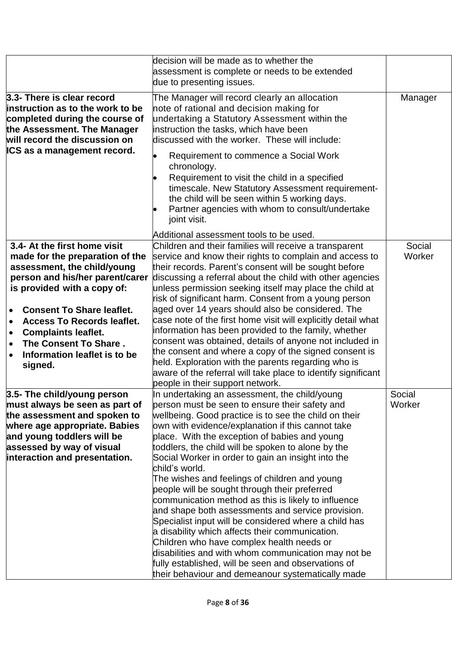|                                                                                                                                                                                                                                                                                                                                                                                                              | decision will be made as to whether the<br>assessment is complete or needs to be extended<br>due to presenting issues.                                                                                                                                                                                                                                                                                                                                                                                                                                                                                                                                                                                                                                                                                                                                                                                                                 |                  |
|--------------------------------------------------------------------------------------------------------------------------------------------------------------------------------------------------------------------------------------------------------------------------------------------------------------------------------------------------------------------------------------------------------------|----------------------------------------------------------------------------------------------------------------------------------------------------------------------------------------------------------------------------------------------------------------------------------------------------------------------------------------------------------------------------------------------------------------------------------------------------------------------------------------------------------------------------------------------------------------------------------------------------------------------------------------------------------------------------------------------------------------------------------------------------------------------------------------------------------------------------------------------------------------------------------------------------------------------------------------|------------------|
| 3.3- There is clear record<br>instruction as to the work to be<br>completed during the course of<br>the Assessment. The Manager<br>will record the discussion on<br><b>ICS as a management record.</b>                                                                                                                                                                                                       | The Manager will record clearly an allocation<br>note of rational and decision making for<br>undertaking a Statutory Assessment within the<br>instruction the tasks, which have been<br>discussed with the worker. These will include:<br>Requirement to commence a Social Work<br>chronology.<br>Requirement to visit the child in a specified<br>timescale. New Statutory Assessment requirement-<br>the child will be seen within 5 working days.<br>Partner agencies with whom to consult/undertake<br>joint visit.                                                                                                                                                                                                                                                                                                                                                                                                                | Manager          |
| 3.4- At the first home visit<br>made for the preparation of the<br>assessment, the child/young<br>person and his/her parent/carer<br>is provided with a copy of:<br><b>Consent To Share leaflet.</b><br>$\bullet$<br><b>Access To Records leaflet.</b><br>$\bullet$<br><b>Complaints leaflet.</b><br>$\bullet$<br>The Consent To Share.<br>$\bullet$<br>Information leaflet is to be<br>$\bullet$<br>signed. | Additional assessment tools to be used.<br>Children and their families will receive a transparent<br>service and know their rights to complain and access to<br>their records. Parent's consent will be sought before<br>discussing a referral about the child with other agencies<br>unless permission seeking itself may place the child at<br>risk of significant harm. Consent from a young person<br>aged over 14 years should also be considered. The<br>case note of the first home visit will explicitly detail what<br>information has been provided to the family, whether<br>consent was obtained, details of anyone not included in<br>the consent and where a copy of the signed consent is<br>held. Exploration with the parents regarding who is<br>aware of the referral will take place to identify significant<br>people in their support network.                                                                   | Social<br>Worker |
| 3.5- The child/young person<br>must always be seen as part of<br>the assessment and spoken to<br>where age appropriate. Babies<br>and young toddlers will be<br>assessed by way of visual<br>interaction and presentation.                                                                                                                                                                                   | In undertaking an assessment, the child/young<br>person must be seen to ensure their safety and<br>wellbeing. Good practice is to see the child on their<br>own with evidence/explanation if this cannot take<br>place. With the exception of babies and young<br>toddlers, the child will be spoken to alone by the<br>Social Worker in order to gain an insight into the<br>child's world.<br>The wishes and feelings of children and young<br>people will be sought through their preferred<br>communication method as this is likely to influence<br>and shape both assessments and service provision.<br>Specialist input will be considered where a child has<br>a disability which affects their communication.<br>Children who have complex health needs or<br>disabilities and with whom communication may not be<br>fully established, will be seen and observations of<br>their behaviour and demeanour systematically made | Social<br>Worker |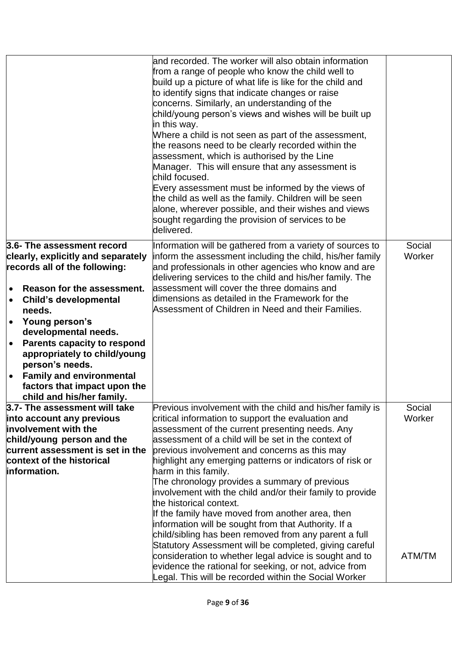|                                                                                                                                                                                                                                                                                                                                                                                                                                                  | and recorded. The worker will also obtain information<br>from a range of people who know the child well to<br>build up a picture of what life is like for the child and<br>to identify signs that indicate changes or raise<br>concerns. Similarly, an understanding of the<br>child/young person's views and wishes will be built up<br>in this way.<br>Where a child is not seen as part of the assessment,<br>the reasons need to be clearly recorded within the<br>assessment, which is authorised by the Line<br>Manager. This will ensure that any assessment is<br>child focused.<br>Every assessment must be informed by the views of<br>the child as well as the family. Children will be seen<br>alone, wherever possible, and their wishes and views<br>sought regarding the provision of services to be<br>delivered.                                                                                   |                            |
|--------------------------------------------------------------------------------------------------------------------------------------------------------------------------------------------------------------------------------------------------------------------------------------------------------------------------------------------------------------------------------------------------------------------------------------------------|---------------------------------------------------------------------------------------------------------------------------------------------------------------------------------------------------------------------------------------------------------------------------------------------------------------------------------------------------------------------------------------------------------------------------------------------------------------------------------------------------------------------------------------------------------------------------------------------------------------------------------------------------------------------------------------------------------------------------------------------------------------------------------------------------------------------------------------------------------------------------------------------------------------------|----------------------------|
| 3.6- The assessment record<br>clearly, explicitly and separately<br>records all of the following:<br>Reason for the assessment.<br>$\bullet$<br><b>Child's developmental</b><br>$\bullet$<br>needs.<br>Young person's<br>$\bullet$<br>developmental needs.<br><b>Parents capacity to respond</b><br>$\bullet$<br>appropriately to child/young<br>person's needs.<br><b>Family and environmental</b><br>$\bullet$<br>factors that impact upon the | Information will be gathered from a variety of sources to<br>inform the assessment including the child, his/her family<br>and professionals in other agencies who know and are<br>delivering services to the child and his/her family. The<br>assessment will cover the three domains and<br>dimensions as detailed in the Framework for the<br>Assessment of Children in Need and their Families.                                                                                                                                                                                                                                                                                                                                                                                                                                                                                                                  | Social<br>Worker           |
| child and his/her family.<br>3.7- The assessment will take<br>into account any previous<br>involvement with the<br>child/young person and the<br>current assessment is set in the<br>context of the historical<br>information.                                                                                                                                                                                                                   | Previous involvement with the child and his/her family is<br>critical information to support the evaluation and<br>assessment of the current presenting needs. Any<br>assessment of a child will be set in the context of<br>previous involvement and concerns as this may<br>highlight any emerging patterns or indicators of risk or<br>harm in this family.<br>The chronology provides a summary of previous<br>involvement with the child and/or their family to provide<br>the historical context.<br>If the family have moved from another area, then<br>information will be sought from that Authority. If a<br>child/sibling has been removed from any parent a full<br>Statutory Assessment will be completed, giving careful<br>consideration to whether legal advice is sought and to<br>evidence the rational for seeking, or not, advice from<br>Legal. This will be recorded within the Social Worker | Social<br>Worker<br>ATM/TM |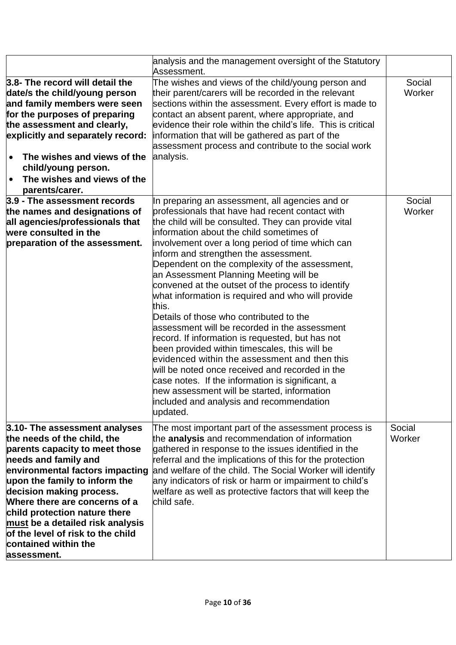|                                                                                                                                                                                                                                                                                                                                                                                                          | analysis and the management oversight of the Statutory<br>Assessment.                                                                                                                                                                                                                                                                                                                                                                                                                                                                                                                                                                                                                                                                                                                                                                                                                                                                                                             |                  |
|----------------------------------------------------------------------------------------------------------------------------------------------------------------------------------------------------------------------------------------------------------------------------------------------------------------------------------------------------------------------------------------------------------|-----------------------------------------------------------------------------------------------------------------------------------------------------------------------------------------------------------------------------------------------------------------------------------------------------------------------------------------------------------------------------------------------------------------------------------------------------------------------------------------------------------------------------------------------------------------------------------------------------------------------------------------------------------------------------------------------------------------------------------------------------------------------------------------------------------------------------------------------------------------------------------------------------------------------------------------------------------------------------------|------------------|
| 3.8- The record will detail the<br>date/s the child/young person<br>and family members were seen<br>for the purposes of preparing<br>the assessment and clearly,<br>explicitly and separately record:<br>The wishes and views of the<br>$\bullet$<br>child/young person.<br>The wishes and views of the<br>$\bullet$<br>parents/carer.                                                                   | The wishes and views of the child/young person and<br>their parent/carers will be recorded in the relevant<br>sections within the assessment. Every effort is made to<br>contact an absent parent, where appropriate, and<br>evidence their role within the child's life. This is critical<br>information that will be gathered as part of the<br>assessment process and contribute to the social work<br>analysis.                                                                                                                                                                                                                                                                                                                                                                                                                                                                                                                                                               | Social<br>Worker |
| 3.9 - The assessment records<br>the names and designations of<br>all agencies/professionals that<br>were consulted in the<br>preparation of the assessment.                                                                                                                                                                                                                                              | In preparing an assessment, all agencies and or<br>professionals that have had recent contact with<br>the child will be consulted. They can provide vital<br>information about the child sometimes of<br>involvement over a long period of time which can<br>inform and strengthen the assessment.<br>Dependent on the complexity of the assessment,<br>an Assessment Planning Meeting will be<br>convened at the outset of the process to identify<br>what information is required and who will provide<br>this.<br>Details of those who contributed to the<br>assessment will be recorded in the assessment<br>record. If information is requested, but has not<br>been provided within timescales, this will be<br>evidenced within the assessment and then this<br>will be noted once received and recorded in the<br>case notes. If the information is significant, a<br>new assessment will be started, information<br>included and analysis and recommendation<br>updated. | Social<br>Worker |
| 3.10- The assessment analyses<br>the needs of the child, the<br>parents capacity to meet those<br>needs and family and<br>environmental factors impacting<br>upon the family to inform the<br>decision making process.<br>Where there are concerns of a<br>child protection nature there<br>must be a detailed risk analysis<br>of the level of risk to the child<br>contained within the<br>assessment. | The most important part of the assessment process is<br>the <b>analysis</b> and recommendation of information<br>gathered in response to the issues identified in the<br>referral and the implications of this for the protection<br>and welfare of the child. The Social Worker will identify<br>any indicators of risk or harm or impairment to child's<br>welfare as well as protective factors that will keep the<br>child safe.                                                                                                                                                                                                                                                                                                                                                                                                                                                                                                                                              | Social<br>Worker |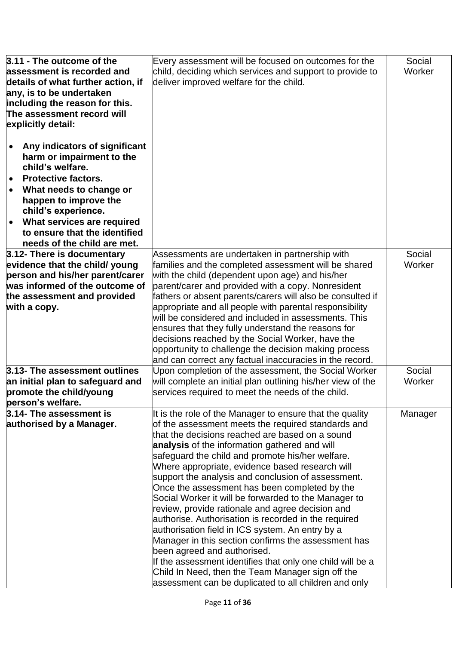| 3.11 - The outcome of the          | Every assessment will be focused on outcomes for the        | Social  |
|------------------------------------|-------------------------------------------------------------|---------|
| assessment is recorded and         |                                                             | Worker  |
|                                    | child, deciding which services and support to provide to    |         |
| details of what further action, if | deliver improved welfare for the child.                     |         |
| any, is to be undertaken           |                                                             |         |
| including the reason for this.     |                                                             |         |
| The assessment record will         |                                                             |         |
| explicitly detail:                 |                                                             |         |
|                                    |                                                             |         |
| Any indicators of significant      |                                                             |         |
| harm or impairment to the          |                                                             |         |
| child's welfare.                   |                                                             |         |
| <b>Protective factors.</b>         |                                                             |         |
| What needs to change or            |                                                             |         |
| happen to improve the              |                                                             |         |
| child's experience.                |                                                             |         |
| What services are required         |                                                             |         |
| to ensure that the identified      |                                                             |         |
| needs of the child are met.        |                                                             |         |
| 3.12- There is documentary         | Assessments are undertaken in partnership with              | Social  |
| evidence that the child/ young     | families and the completed assessment will be shared        | Worker  |
| person and his/her parent/carer    | with the child (dependent upon age) and his/her             |         |
| was informed of the outcome of     | parent/carer and provided with a copy. Nonresident          |         |
| the assessment and provided        | fathers or absent parents/carers will also be consulted if  |         |
|                                    |                                                             |         |
| with a copy.                       | appropriate and all people with parental responsibility     |         |
|                                    | will be considered and included in assessments. This        |         |
|                                    | ensures that they fully understand the reasons for          |         |
|                                    | decisions reached by the Social Worker, have the            |         |
|                                    | opportunity to challenge the decision making process        |         |
|                                    | and can correct any factual inaccuracies in the record.     |         |
| 3.13- The assessment outlines      | Upon completion of the assessment, the Social Worker        | Social  |
| an initial plan to safeguard and   | will complete an initial plan outlining his/her view of the | Worker  |
| promote the child/young            | services required to meet the needs of the child.           |         |
| person's welfare.                  |                                                             |         |
| 3.14- The assessment is            | It is the role of the Manager to ensure that the quality    | Manager |
| authorised by a Manager.           | of the assessment meets the required standards and          |         |
|                                    | that the decisions reached are based on a sound             |         |
|                                    | analysis of the information gathered and will               |         |
|                                    | safeguard the child and promote his/her welfare.            |         |
|                                    | Where appropriate, evidence based research will             |         |
|                                    | support the analysis and conclusion of assessment.          |         |
|                                    | Once the assessment has been completed by the               |         |
|                                    | Social Worker it will be forwarded to the Manager to        |         |
|                                    | review, provide rationale and agree decision and            |         |
|                                    | authorise. Authorisation is recorded in the required        |         |
|                                    | authorisation field in ICS system. An entry by a            |         |
|                                    | Manager in this section confirms the assessment has         |         |
|                                    | been agreed and authorised.                                 |         |
|                                    | If the assessment identifies that only one child will be a  |         |
|                                    | Child In Need, then the Team Manager sign off the           |         |
|                                    | assessment can be duplicated to all children and only       |         |
|                                    |                                                             |         |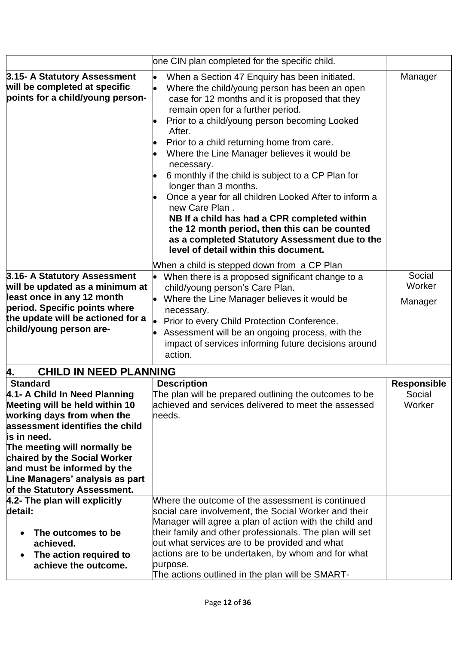<span id="page-11-0"></span>

|                                                                                                   | one CIN plan completed for the specific child.                                                                                                                                                                                                                                                                                                                                                                                                                                                                                                                                                                                                                                                                     |                    |
|---------------------------------------------------------------------------------------------------|--------------------------------------------------------------------------------------------------------------------------------------------------------------------------------------------------------------------------------------------------------------------------------------------------------------------------------------------------------------------------------------------------------------------------------------------------------------------------------------------------------------------------------------------------------------------------------------------------------------------------------------------------------------------------------------------------------------------|--------------------|
| 3.15- A Statutory Assessment<br>will be completed at specific<br>points for a child/young person- | When a Section 47 Enquiry has been initiated.<br>Where the child/young person has been an open<br>case for 12 months and it is proposed that they<br>remain open for a further period.<br>Prior to a child/young person becoming Looked<br>After.<br>Prior to a child returning home from care.<br>Where the Line Manager believes it would be<br>necessary.<br>6 monthly if the child is subject to a CP Plan for<br>longer than 3 months.<br>Once a year for all children Looked After to inform a<br>new Care Plan.<br>NB If a child has had a CPR completed within<br>the 12 month period, then this can be counted<br>as a completed Statutory Assessment due to the<br>level of detail within this document. | Manager            |
| 3.16- A Statutory Assessment                                                                      | When a child is stepped down from a CP Plan                                                                                                                                                                                                                                                                                                                                                                                                                                                                                                                                                                                                                                                                        | Social             |
| will be updated as a minimum at                                                                   | When there is a proposed significant change to a<br>child/young person's Care Plan.                                                                                                                                                                                                                                                                                                                                                                                                                                                                                                                                                                                                                                | Worker             |
| least once in any 12 month                                                                        | Where the Line Manager believes it would be                                                                                                                                                                                                                                                                                                                                                                                                                                                                                                                                                                                                                                                                        |                    |
| period. Specific points where                                                                     | necessary.                                                                                                                                                                                                                                                                                                                                                                                                                                                                                                                                                                                                                                                                                                         | Manager            |
| the update will be actioned for a                                                                 | Prior to every Child Protection Conference.                                                                                                                                                                                                                                                                                                                                                                                                                                                                                                                                                                                                                                                                        |                    |
| child/young person are-                                                                           | Assessment will be an ongoing process, with the<br>impact of services informing future decisions around<br>action.                                                                                                                                                                                                                                                                                                                                                                                                                                                                                                                                                                                                 |                    |
| <b>CHILD IN NEED PLANNING</b><br>4.                                                               |                                                                                                                                                                                                                                                                                                                                                                                                                                                                                                                                                                                                                                                                                                                    |                    |
| <b>Standard</b>                                                                                   | <b>Description</b>                                                                                                                                                                                                                                                                                                                                                                                                                                                                                                                                                                                                                                                                                                 | <b>Responsible</b> |
| 4.1- A Child In Need Planning                                                                     | The plan will be prepared outlining the outcomes to be                                                                                                                                                                                                                                                                                                                                                                                                                                                                                                                                                                                                                                                             | Social             |
| Meeting will be held within 10                                                                    | achieved and services delivered to meet the assessed                                                                                                                                                                                                                                                                                                                                                                                                                                                                                                                                                                                                                                                               | Worker             |
| working days from when the                                                                        | needs.                                                                                                                                                                                                                                                                                                                                                                                                                                                                                                                                                                                                                                                                                                             |                    |
| assessment identifies the child<br>is in need.                                                    |                                                                                                                                                                                                                                                                                                                                                                                                                                                                                                                                                                                                                                                                                                                    |                    |
| The meeting will normally be                                                                      |                                                                                                                                                                                                                                                                                                                                                                                                                                                                                                                                                                                                                                                                                                                    |                    |
| <b>chaired by the Social Worker</b>                                                               |                                                                                                                                                                                                                                                                                                                                                                                                                                                                                                                                                                                                                                                                                                                    |                    |
| and must be informed by the                                                                       |                                                                                                                                                                                                                                                                                                                                                                                                                                                                                                                                                                                                                                                                                                                    |                    |
| Line Managers' analysis as part                                                                   |                                                                                                                                                                                                                                                                                                                                                                                                                                                                                                                                                                                                                                                                                                                    |                    |
| of the Statutory Assessment.                                                                      |                                                                                                                                                                                                                                                                                                                                                                                                                                                                                                                                                                                                                                                                                                                    |                    |
| 4.2- The plan will explicitly                                                                     | Where the outcome of the assessment is continued                                                                                                                                                                                                                                                                                                                                                                                                                                                                                                                                                                                                                                                                   |                    |
| detail:                                                                                           | social care involvement, the Social Worker and their                                                                                                                                                                                                                                                                                                                                                                                                                                                                                                                                                                                                                                                               |                    |
|                                                                                                   | Manager will agree a plan of action with the child and                                                                                                                                                                                                                                                                                                                                                                                                                                                                                                                                                                                                                                                             |                    |
| The outcomes to be                                                                                | their family and other professionals. The plan will set                                                                                                                                                                                                                                                                                                                                                                                                                                                                                                                                                                                                                                                            |                    |
| achieved.                                                                                         | out what services are to be provided and what                                                                                                                                                                                                                                                                                                                                                                                                                                                                                                                                                                                                                                                                      |                    |
| The action required to<br>$\bullet$                                                               | actions are to be undertaken, by whom and for what                                                                                                                                                                                                                                                                                                                                                                                                                                                                                                                                                                                                                                                                 |                    |
| achieve the outcome.                                                                              | purpose.                                                                                                                                                                                                                                                                                                                                                                                                                                                                                                                                                                                                                                                                                                           |                    |
|                                                                                                   | The actions outlined in the plan will be SMART-                                                                                                                                                                                                                                                                                                                                                                                                                                                                                                                                                                                                                                                                    |                    |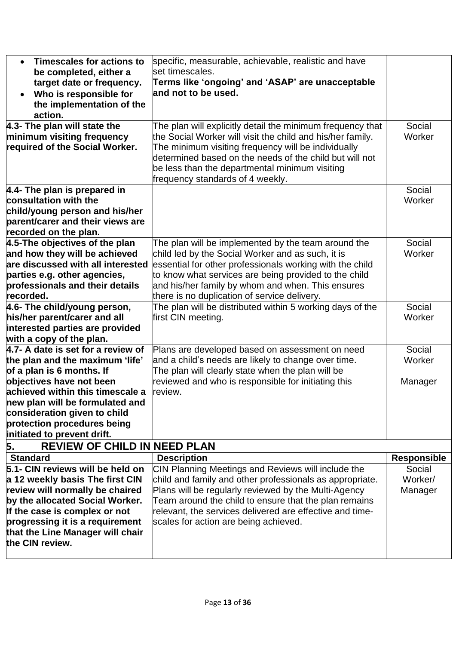<span id="page-12-0"></span>

| <b>Timescales for actions to</b><br>$\bullet$               | specific, measurable, achievable, realistic and have                     |                              |
|-------------------------------------------------------------|--------------------------------------------------------------------------|------------------------------|
| be completed, either a                                      | set timescales.                                                          |                              |
| target date or frequency.                                   | Terms like 'ongoing' and 'ASAP' are unacceptable                         |                              |
| Who is responsible for<br>$\bullet$                         | and not to be used.                                                      |                              |
| the implementation of the                                   |                                                                          |                              |
| action.                                                     |                                                                          |                              |
| 4.3- The plan will state the                                | The plan will explicitly detail the minimum frequency that               | Social                       |
| minimum visiting frequency                                  | the Social Worker will visit the child and his/her family.               | Worker                       |
| required of the Social Worker.                              | The minimum visiting frequency will be individually                      |                              |
|                                                             | determined based on the needs of the child but will not                  |                              |
|                                                             | be less than the departmental minimum visiting                           |                              |
|                                                             | frequency standards of 4 weekly.                                         |                              |
| 4.4- The plan is prepared in                                |                                                                          | Social                       |
| consultation with the                                       |                                                                          | Worker                       |
| child/young person and his/her                              |                                                                          |                              |
| parent/carer and their views are                            |                                                                          |                              |
| recorded on the plan.                                       |                                                                          |                              |
| 4.5-The objectives of the plan                              | The plan will be implemented by the team around the                      | Social                       |
| and how they will be achieved                               | child led by the Social Worker and as such, it is                        | Worker                       |
| are discussed with all interested                           | essential for other professionals working with the child                 |                              |
| parties e.g. other agencies,                                | to know what services are being provided to the child                    |                              |
| professionals and their details                             | and his/her family by whom and when. This ensures                        |                              |
| recorded.                                                   | there is no duplication of service delivery.                             |                              |
| 4.6- The child/young person,                                | The plan will be distributed within 5 working days of the                | Social                       |
| his/her parent/carer and all                                | first CIN meeting.                                                       | Worker                       |
| interested parties are provided                             |                                                                          |                              |
| with a copy of the plan.                                    |                                                                          |                              |
| 4.7- A date is set for a review of                          | Plans are developed based on assessment on need                          | Social                       |
| the plan and the maximum 'life'                             | and a child's needs are likely to change over time.                      | Worker                       |
| of a plan is 6 months. If                                   | The plan will clearly state when the plan will be                        |                              |
| objectives have not been                                    | reviewed and who is responsible for initiating this                      | Manager                      |
| achieved within this timescale a                            | review.                                                                  |                              |
| new plan will be formulated and                             |                                                                          |                              |
| consideration given to child<br>protection procedures being |                                                                          |                              |
| initiated to prevent drift.                                 |                                                                          |                              |
| <b>REVIEW OF CHILD IN NEED PLAN</b>                         |                                                                          |                              |
| 5.<br><b>Standard</b>                                       |                                                                          |                              |
| 5.1- CIN reviews will be held on                            | <b>Description</b><br>CIN Planning Meetings and Reviews will include the | <b>Responsible</b><br>Social |
| a 12 weekly basis The first CIN                             | child and family and other professionals as appropriate.                 | Worker/                      |
| review will normally be chaired                             | Plans will be regularly reviewed by the Multi-Agency                     | Manager                      |
| by the allocated Social Worker.                             | Team around the child to ensure that the plan remains                    |                              |
| If the case is complex or not                               | relevant, the services delivered are effective and time-                 |                              |
| progressing it is a requirement                             | scales for action are being achieved.                                    |                              |
| that the Line Manager will chair                            |                                                                          |                              |
| the CIN review.                                             |                                                                          |                              |
|                                                             |                                                                          |                              |
|                                                             |                                                                          |                              |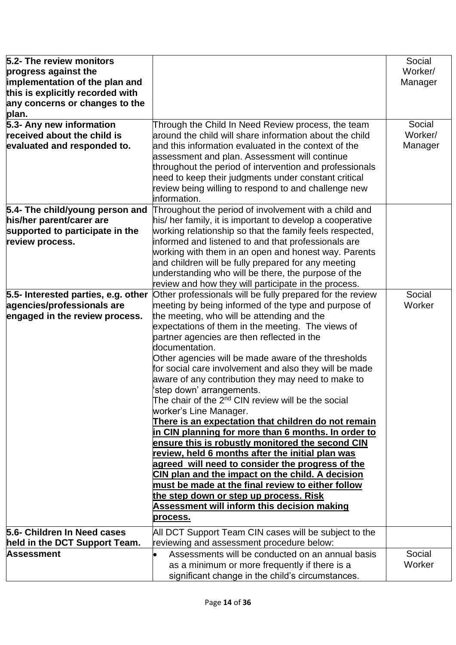| 5.2- The review monitors            |                                                                | Social  |
|-------------------------------------|----------------------------------------------------------------|---------|
| progress against the                |                                                                | Worker/ |
| implementation of the plan and      |                                                                | Manager |
| this is explicitly recorded with    |                                                                |         |
| any concerns or changes to the      |                                                                |         |
| plan.                               |                                                                |         |
| 5.3- Any new information            | Through the Child In Need Review process, the team             | Social  |
| received about the child is         | around the child will share information about the child        | Worker/ |
| evaluated and responded to.         | and this information evaluated in the context of the           | Manager |
|                                     | assessment and plan. Assessment will continue                  |         |
|                                     | throughout the period of intervention and professionals        |         |
|                                     | need to keep their judgments under constant critical           |         |
|                                     | review being willing to respond to and challenge new           |         |
|                                     | information.                                                   |         |
| 5.4- The child/young person and     | Throughout the period of involvement with a child and          |         |
| his/her parent/carer are            | his/ her family, it is important to develop a cooperative      |         |
| supported to participate in the     | working relationship so that the family feels respected,       |         |
| review process.                     | informed and listened to and that professionals are            |         |
|                                     | working with them in an open and honest way. Parents           |         |
|                                     | and children will be fully prepared for any meeting            |         |
|                                     | understanding who will be there, the purpose of the            |         |
|                                     | review and how they will participate in the process.           |         |
| 5.5- Interested parties, e.g. other | Other professionals will be fully prepared for the review      | Social  |
| agencies/professionals are          | meeting by being informed of the type and purpose of           | Worker  |
| engaged in the review process.      | the meeting, who will be attending and the                     |         |
|                                     | expectations of them in the meeting. The views of              |         |
|                                     | partner agencies are then reflected in the                     |         |
|                                     | documentation.                                                 |         |
|                                     | Other agencies will be made aware of the thresholds            |         |
|                                     | for social care involvement and also they will be made         |         |
|                                     | aware of any contribution they may need to make to             |         |
|                                     | 'step down' arrangements.                                      |         |
|                                     | The chair of the 2 <sup>nd</sup> CIN review will be the social |         |
|                                     | worker's Line Manager.                                         |         |
|                                     | There is an expectation that children do not remain            |         |
|                                     | in CIN planning for more than 6 months. In order to            |         |
|                                     | ensure this is robustly monitored the second CIN               |         |
|                                     | review, held 6 months after the initial plan was               |         |
|                                     | agreed will need to consider the progress of the               |         |
|                                     | CIN plan and the impact on the child. A decision               |         |
|                                     | must be made at the final review to either follow              |         |
|                                     | the step down or step up process. Risk                         |         |
|                                     | <b>Assessment will inform this decision making</b>             |         |
|                                     | process.                                                       |         |
| 5.6- Children In Need cases         | All DCT Support Team CIN cases will be subject to the          |         |
| held in the DCT Support Team.       | reviewing and assessment procedure below:                      |         |
| Assessment                          | Assessments will be conducted on an annual basis               | Social  |
|                                     | as a minimum or more frequently if there is a                  | Worker  |
|                                     | significant change in the child's circumstances.               |         |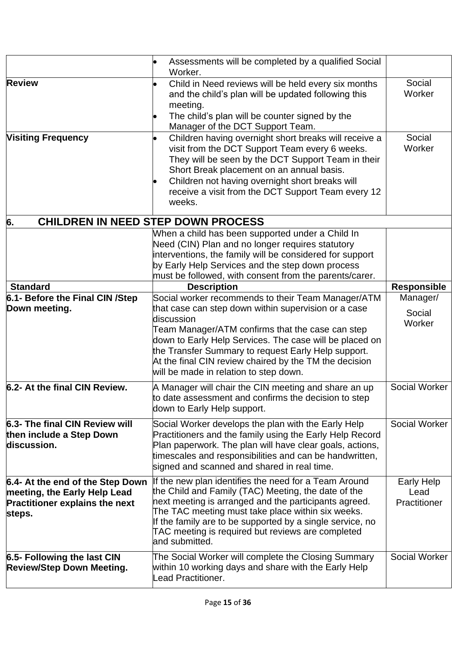<span id="page-14-0"></span>

|                                                                                                                     | Assessments will be completed by a qualified Social<br>Worker.                                                                                                                                                                                                                                                                                                                                     |                                           |
|---------------------------------------------------------------------------------------------------------------------|----------------------------------------------------------------------------------------------------------------------------------------------------------------------------------------------------------------------------------------------------------------------------------------------------------------------------------------------------------------------------------------------------|-------------------------------------------|
| <b>Review</b>                                                                                                       | Child in Need reviews will be held every six months<br>and the child's plan will be updated following this<br>meeting.<br>The child's plan will be counter signed by the<br>Manager of the DCT Support Team.                                                                                                                                                                                       | Social<br>Worker                          |
| <b>Visiting Frequency</b>                                                                                           | Children having overnight short breaks will receive a<br>visit from the DCT Support Team every 6 weeks.<br>They will be seen by the DCT Support Team in their<br>Short Break placement on an annual basis.<br>Children not having overnight short breaks will<br>receive a visit from the DCT Support Team every 12<br>weeks.                                                                      | Social<br>Worker                          |
| 6.                                                                                                                  | <b>CHILDREN IN NEED STEP DOWN PROCESS</b>                                                                                                                                                                                                                                                                                                                                                          |                                           |
|                                                                                                                     | When a child has been supported under a Child In<br>Need (CIN) Plan and no longer requires statutory<br>interventions, the family will be considered for support<br>by Early Help Services and the step down process<br>must be followed, with consent from the parents/carer.                                                                                                                     |                                           |
| <b>Standard</b>                                                                                                     | <b>Description</b>                                                                                                                                                                                                                                                                                                                                                                                 | <b>Responsible</b>                        |
| 6.1- Before the Final CIN /Step<br>Down meeting.                                                                    | Social worker recommends to their Team Manager/ATM<br>that case can step down within supervision or a case<br>discussion<br>Team Manager/ATM confirms that the case can step<br>down to Early Help Services. The case will be placed on<br>the Transfer Summary to request Early Help support.<br>At the final CIN review chaired by the TM the decision<br>will be made in relation to step down. | Manager/<br>Social<br>Worker              |
| 6.2- At the final CIN Review.                                                                                       | A Manager will chair the CIN meeting and share an up<br>to date assessment and confirms the decision to step<br>down to Early Help support.                                                                                                                                                                                                                                                        | Social Worker                             |
| 6.3- The final CIN Review will<br>then include a Step Down<br>discussion.                                           | Social Worker develops the plan with the Early Help<br>Practitioners and the family using the Early Help Record<br>Plan paperwork. The plan will have clear goals, actions,<br>timescales and responsibilities and can be handwritten,<br>signed and scanned and shared in real time.                                                                                                              | Social Worker                             |
| 6.4- At the end of the Step Down<br>meeting, the Early Help Lead<br><b>Practitioner explains the next</b><br>steps. | If the new plan identifies the need for a Team Around<br>the Child and Family (TAC) Meeting, the date of the<br>next meeting is arranged and the participants agreed.<br>The TAC meeting must take place within six weeks.<br>If the family are to be supported by a single service, no<br>TAC meeting is required but reviews are completed<br>and submitted.                                     | <b>Early Help</b><br>Lead<br>Practitioner |
| 6.5- Following the last CIN<br><b>Review/Step Down Meeting.</b>                                                     | The Social Worker will complete the Closing Summary<br>within 10 working days and share with the Early Help<br>Lead Practitioner.                                                                                                                                                                                                                                                                  | Social Worker                             |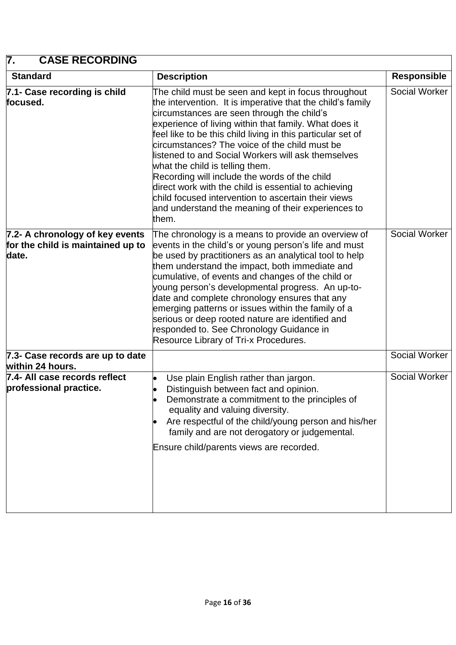## <span id="page-15-0"></span>**7. CASE RECORDING**

| <b>Standard</b>                                                               | <b>Description</b>                                                                                                                                                                                                                                                                                                                                                                                                                                                                                                                                                                                                                                               | <b>Responsible</b> |
|-------------------------------------------------------------------------------|------------------------------------------------------------------------------------------------------------------------------------------------------------------------------------------------------------------------------------------------------------------------------------------------------------------------------------------------------------------------------------------------------------------------------------------------------------------------------------------------------------------------------------------------------------------------------------------------------------------------------------------------------------------|--------------------|
| 7.1- Case recording is child<br>focused.                                      | The child must be seen and kept in focus throughout<br>the intervention. It is imperative that the child's family<br>circumstances are seen through the child's<br>experience of living within that family. What does it<br>feel like to be this child living in this particular set of<br>circumstances? The voice of the child must be<br>listened to and Social Workers will ask themselves<br>what the child is telling them.<br>Recording will include the words of the child<br>direct work with the child is essential to achieving<br>child focused intervention to ascertain their views<br>and understand the meaning of their experiences to<br>them. | Social Worker      |
| 7.2- A chronology of key events<br>for the child is maintained up to<br>date. | The chronology is a means to provide an overview of<br>events in the child's or young person's life and must<br>be used by practitioners as an analytical tool to help<br>them understand the impact, both immediate and<br>cumulative, of events and changes of the child or<br>young person's developmental progress. An up-to-<br>date and complete chronology ensures that any<br>emerging patterns or issues within the family of a<br>serious or deep rooted nature are identified and<br>responded to. See Chronology Guidance in<br>Resource Library of Tri-x Procedures.                                                                                | Social Worker      |
| 7.3- Case records are up to date<br>within 24 hours.                          |                                                                                                                                                                                                                                                                                                                                                                                                                                                                                                                                                                                                                                                                  | Social Worker      |
| 7.4- All case records reflect<br>professional practice.                       | Use plain English rather than jargon.<br>Distinguish between fact and opinion.<br>Demonstrate a commitment to the principles of<br>equality and valuing diversity.<br>Are respectful of the child/young person and his/her<br>family and are not derogatory or judgemental.<br>Ensure child/parents views are recorded.                                                                                                                                                                                                                                                                                                                                          | Social Worker      |

 $\overline{\phantom{a}}$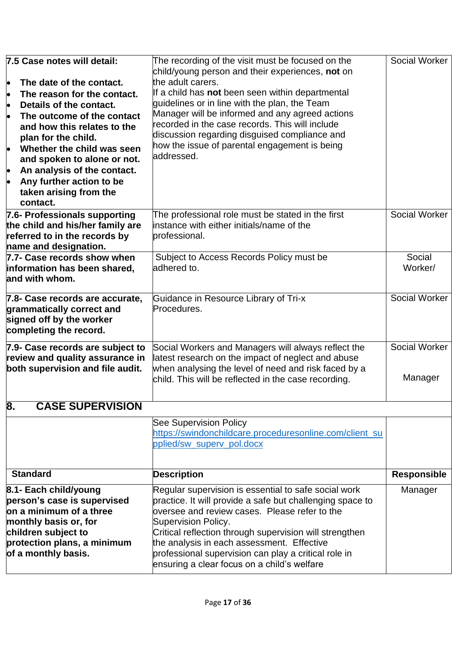<span id="page-16-0"></span>

| 7.5 Case notes will detail:<br>The date of the contact.<br>þ<br>The reason for the contact.<br>l.<br>Details of the contact.<br>l.<br><b>lo</b><br>The outcome of the contact<br>and how this relates to the<br>plan for the child.<br>Whether the child was seen<br>and spoken to alone or not.<br>An analysis of the contact.<br>þ<br>Any further action to be<br>b<br>taken arising from the<br>contact. | The recording of the visit must be focused on the<br>child/young person and their experiences, not on<br>the adult carers.<br>If a child has not been seen within departmental<br>quidelines or in line with the plan, the Team<br>Manager will be informed and any agreed actions<br>recorded in the case records. This will include<br>discussion regarding disguised compliance and<br>how the issue of parental engagement is being<br>laddressed. | Social Worker            |
|-------------------------------------------------------------------------------------------------------------------------------------------------------------------------------------------------------------------------------------------------------------------------------------------------------------------------------------------------------------------------------------------------------------|--------------------------------------------------------------------------------------------------------------------------------------------------------------------------------------------------------------------------------------------------------------------------------------------------------------------------------------------------------------------------------------------------------------------------------------------------------|--------------------------|
| 7.6- Professionals supporting<br>the child and his/her family are<br>referred to in the records by<br>name and designation.                                                                                                                                                                                                                                                                                 | The professional role must be stated in the first<br>instance with either initials/name of the<br>professional.                                                                                                                                                                                                                                                                                                                                        | Social Worker            |
| 7.7- Case records show when<br>information has been shared,<br>and with whom.                                                                                                                                                                                                                                                                                                                               | Subject to Access Records Policy must be<br>adhered to.                                                                                                                                                                                                                                                                                                                                                                                                | Social<br>Worker/        |
| 7.8- Case records are accurate,<br>grammatically correct and<br>signed off by the worker<br>completing the record.                                                                                                                                                                                                                                                                                          | Guidance in Resource Library of Tri-x<br>Procedures.                                                                                                                                                                                                                                                                                                                                                                                                   | Social Worker            |
| 7.9- Case records are subject to<br>review and quality assurance in<br>both supervision and file audit.                                                                                                                                                                                                                                                                                                     | Social Workers and Managers will always reflect the<br>latest research on the impact of neglect and abuse<br>when analysing the level of need and risk faced by a<br>child. This will be reflected in the case recording.                                                                                                                                                                                                                              | Social Worker<br>Manager |
| 8.<br><b>CASE SUPERVISION</b>                                                                                                                                                                                                                                                                                                                                                                               |                                                                                                                                                                                                                                                                                                                                                                                                                                                        |                          |
|                                                                                                                                                                                                                                                                                                                                                                                                             | <b>See Supervision Policy</b><br>https://swindonchildcare.proceduresonline.com/client_su<br>pplied/sw_superv_pol.docx                                                                                                                                                                                                                                                                                                                                  |                          |
| <b>Standard</b>                                                                                                                                                                                                                                                                                                                                                                                             | <b>Description</b>                                                                                                                                                                                                                                                                                                                                                                                                                                     | <b>Responsible</b>       |
| 8.1- Each child/young<br>person's case is supervised<br>on a minimum of a three<br>monthly basis or, for<br>children subject to<br>protection plans, a minimum<br>of a monthly basis.                                                                                                                                                                                                                       | Regular supervision is essential to safe social work<br>practice. It will provide a safe but challenging space to<br>oversee and review cases. Please refer to the<br>Supervision Policy.<br>Critical reflection through supervision will strengthen<br>the analysis in each assessment. Effective<br>professional supervision can play a critical role in<br>ensuring a clear focus on a child's welfare                                              | Manager                  |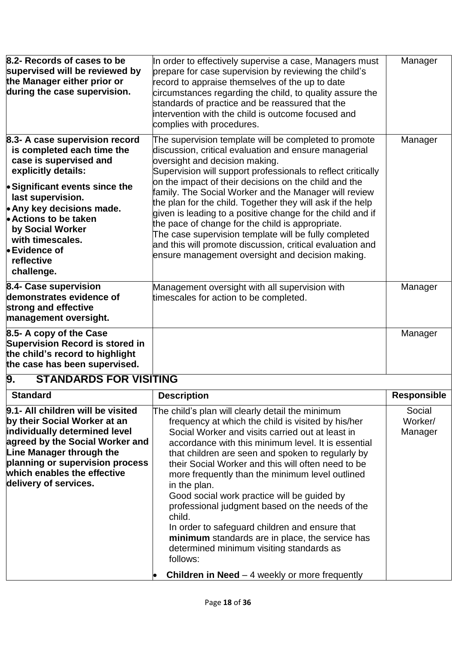| 8.2- Records of cases to be<br>supervised will be reviewed by<br>the Manager either prior or<br>during the case supervision.                                                                                                                                                                                                       | In order to effectively supervise a case, Managers must<br>prepare for case supervision by reviewing the child's<br>record to appraise themselves of the up to date<br>circumstances regarding the child, to quality assure the<br>standards of practice and be reassured that the<br>intervention with the child is outcome focused and<br>complies with procedures.                                                                                                                                                                                                                                                                                                                        | Manager                      |
|------------------------------------------------------------------------------------------------------------------------------------------------------------------------------------------------------------------------------------------------------------------------------------------------------------------------------------|----------------------------------------------------------------------------------------------------------------------------------------------------------------------------------------------------------------------------------------------------------------------------------------------------------------------------------------------------------------------------------------------------------------------------------------------------------------------------------------------------------------------------------------------------------------------------------------------------------------------------------------------------------------------------------------------|------------------------------|
| 8.3- A case supervision record<br>is completed each time the<br>case is supervised and<br>explicitly details:<br>• Significant events since the<br>last supervision.<br>$\bullet$ Any key decisions made.<br><b>Actions to be taken</b><br>by Social Worker<br>with timescales.<br><b>•Evidence of</b><br>reflective<br>challenge. | The supervision template will be completed to promote<br>discussion, critical evaluation and ensure managerial<br>oversight and decision making.<br>Supervision will support professionals to reflect critically<br>on the impact of their decisions on the child and the<br>family. The Social Worker and the Manager will review<br>the plan for the child. Together they will ask if the help<br>given is leading to a positive change for the child and if<br>the pace of change for the child is appropriate.<br>The case supervision template will be fully completed<br>and this will promote discussion, critical evaluation and<br>ensure management oversight and decision making. | Manager                      |
| 8.4- Case supervision<br>demonstrates evidence of<br>strong and effective<br>management oversight.                                                                                                                                                                                                                                 | Management oversight with all supervision with<br>timescales for action to be completed.                                                                                                                                                                                                                                                                                                                                                                                                                                                                                                                                                                                                     | Manager                      |
| 8.5- A copy of the Case<br><b>Supervision Record is stored in</b><br>the child's record to highlight<br>the case has been supervised.                                                                                                                                                                                              |                                                                                                                                                                                                                                                                                                                                                                                                                                                                                                                                                                                                                                                                                              | Manager                      |
| <b>STANDARDS FOR VISITING</b><br>9.                                                                                                                                                                                                                                                                                                |                                                                                                                                                                                                                                                                                                                                                                                                                                                                                                                                                                                                                                                                                              |                              |
| <b>Standard</b>                                                                                                                                                                                                                                                                                                                    | <b>Description</b>                                                                                                                                                                                                                                                                                                                                                                                                                                                                                                                                                                                                                                                                           | <b>Responsible</b>           |
| 9.1- All children will be visited<br>by their Social Worker at an<br>Individually determined level                                                                                                                                                                                                                                 | The child's plan will clearly detail the minimum<br>frequency at which the child is visited by his/her<br>Social Worker and visits carried out at least in                                                                                                                                                                                                                                                                                                                                                                                                                                                                                                                                   | Social<br>Worker/<br>Manager |

<span id="page-17-0"></span>

| 9.1- All children will be visited | The child's plan will clearly detail the minimum          | Social  |
|-----------------------------------|-----------------------------------------------------------|---------|
| by their Social Worker at an      | frequency at which the child is visited by his/her        | Worker/ |
| individually determined level     | Social Worker and visits carried out at least in          | Manager |
| agreed by the Social Worker and   | accordance with this minimum level. It is essential       |         |
| Line Manager through the          | that children are seen and spoken to regularly by         |         |
| planning or supervision process   | their Social Worker and this will often need to be        |         |
| which enables the effective       | more frequently than the minimum level outlined           |         |
| delivery of services.             | in the plan.                                              |         |
|                                   | Good social work practice will be guided by               |         |
|                                   | professional judgment based on the needs of the<br>child. |         |
|                                   | In order to safeguard children and ensure that            |         |
|                                   | minimum standards are in place, the service has           |         |
|                                   | determined minimum visiting standards as                  |         |
|                                   | follows:                                                  |         |
|                                   | <b>Children in Need</b> $-$ 4 weekly or more frequently   |         |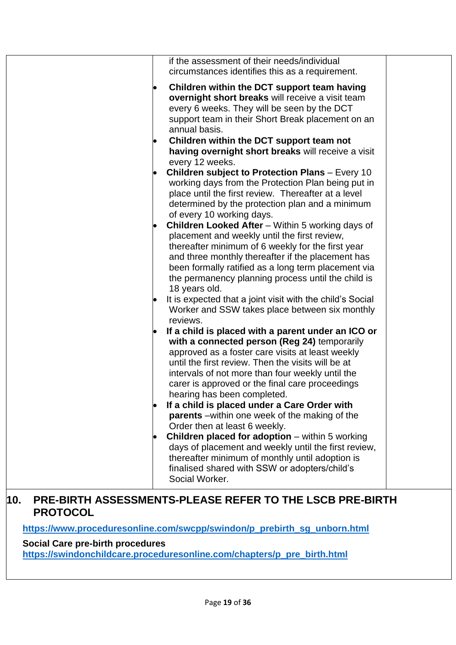| if the assessment of their needs/individual<br>circumstances identifies this as a requirement.                                                                                                                                                                                                                                                                                                                                                                                                                                                                                                                                                                                                                                       |
|--------------------------------------------------------------------------------------------------------------------------------------------------------------------------------------------------------------------------------------------------------------------------------------------------------------------------------------------------------------------------------------------------------------------------------------------------------------------------------------------------------------------------------------------------------------------------------------------------------------------------------------------------------------------------------------------------------------------------------------|
| Children within the DCT support team having<br>overnight short breaks will receive a visit team<br>every 6 weeks. They will be seen by the DCT<br>support team in their Short Break placement on an<br>annual basis.                                                                                                                                                                                                                                                                                                                                                                                                                                                                                                                 |
| Children within the DCT support team not<br>having overnight short breaks will receive a visit<br>every 12 weeks.                                                                                                                                                                                                                                                                                                                                                                                                                                                                                                                                                                                                                    |
| <b>Children subject to Protection Plans - Every 10</b><br>working days from the Protection Plan being put in<br>place until the first review. Thereafter at a level<br>determined by the protection plan and a minimum<br>of every 10 working days.                                                                                                                                                                                                                                                                                                                                                                                                                                                                                  |
| <b>Children Looked After</b> – Within 5 working days of<br>placement and weekly until the first review,<br>thereafter minimum of 6 weekly for the first year<br>and three monthly thereafter if the placement has<br>been formally ratified as a long term placement via<br>the permanency planning process until the child is<br>18 years old.                                                                                                                                                                                                                                                                                                                                                                                      |
| It is expected that a joint visit with the child's Social<br>Worker and SSW takes place between six monthly<br>reviews.                                                                                                                                                                                                                                                                                                                                                                                                                                                                                                                                                                                                              |
| If a child is placed with a parent under an ICO or<br>with a connected person (Reg 24) temporarily<br>approved as a foster care visits at least weekly<br>until the first review. Then the visits will be at<br>intervals of not more than four weekly until the<br>carer is approved or the final care proceedings<br>hearing has been completed.<br>If a child is placed under a Care Order with<br><b>parents</b> – within one week of the making of the<br>Order then at least 6 weekly.<br><b>Children placed for adoption</b> – within 5 working<br>days of placement and weekly until the first review,<br>thereafter minimum of monthly until adoption is<br>finalised shared with SSW or adopters/child's<br>Social Worker. |
|                                                                                                                                                                                                                                                                                                                                                                                                                                                                                                                                                                                                                                                                                                                                      |

#### <span id="page-18-0"></span>**10. PRE-BIRTH ASSESSMENTS-PLEASE REFER TO THE LSCB PRE-BIRTH PROTOCOL**

**[https://www.proceduresonline.com/swcpp/swindon/p\\_prebirth\\_sg\\_unborn.html](https://www.proceduresonline.com/swcpp/swindon/p_prebirth_sg_unborn.html)**

#### **Social Care pre-birth procedures**

**[https://swindonchildcare.proceduresonline.com/chapters/p\\_pre\\_birth.html](https://swindonchildcare.proceduresonline.com/chapters/p_pre_birth.html)**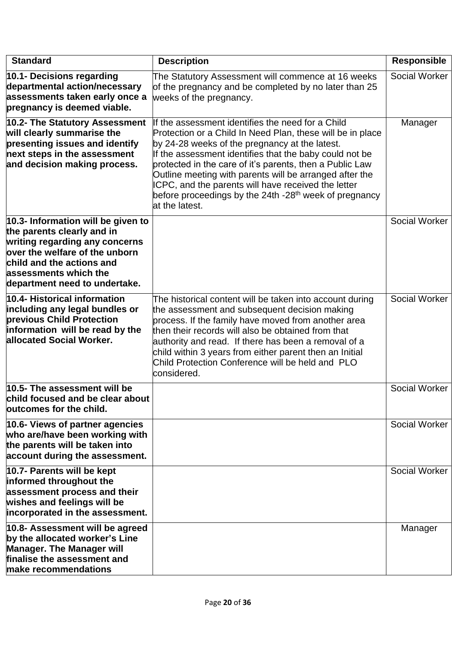| <b>Standard</b>                                                                                                                                                                                                             | <b>Description</b>                                                                                                                                                                                                                                                                                                                                                                                                                                                                                 | <b>Responsible</b> |
|-----------------------------------------------------------------------------------------------------------------------------------------------------------------------------------------------------------------------------|----------------------------------------------------------------------------------------------------------------------------------------------------------------------------------------------------------------------------------------------------------------------------------------------------------------------------------------------------------------------------------------------------------------------------------------------------------------------------------------------------|--------------------|
| 10.1- Decisions regarding<br>departmental action/necessary<br>assessments taken early once a<br>pregnancy is deemed viable.                                                                                                 | The Statutory Assessment will commence at 16 weeks<br>of the pregnancy and be completed by no later than 25<br>weeks of the pregnancy.                                                                                                                                                                                                                                                                                                                                                             | Social Worker      |
| 10.2- The Statutory Assessment<br>will clearly summarise the<br>presenting issues and identify<br>next steps in the assessment<br>and decision making process.                                                              | If the assessment identifies the need for a Child<br>Protection or a Child In Need Plan, these will be in place<br>by 24-28 weeks of the pregnancy at the latest.<br>If the assessment identifies that the baby could not be<br>protected in the care of it's parents, then a Public Law<br>Outline meeting with parents will be arranged after the<br>ICPC, and the parents will have received the letter<br>before proceedings by the 24th -28 <sup>th</sup> week of pregnancy<br>at the latest. | Manager            |
| 10.3- Information will be given to<br>the parents clearly and in<br>writing regarding any concerns<br>over the welfare of the unborn<br>child and the actions and<br>assessments which the<br>department need to undertake. |                                                                                                                                                                                                                                                                                                                                                                                                                                                                                                    | Social Worker      |
| 10.4- Historical information<br>including any legal bundles or<br>previous Child Protection<br>information will be read by the<br>allocated Social Worker.                                                                  | The historical content will be taken into account during<br>the assessment and subsequent decision making<br>process. If the family have moved from another area<br>then their records will also be obtained from that<br>authority and read. If there has been a removal of a<br>child within 3 years from either parent then an Initial<br>Child Protection Conference will be held and PLO<br>considered.                                                                                       | Social Worker      |
| 10.5- The assessment will be<br>child focused and be clear about<br>outcomes for the child.                                                                                                                                 |                                                                                                                                                                                                                                                                                                                                                                                                                                                                                                    | Social Worker      |
| 10.6- Views of partner agencies<br>who are/have been working with<br>the parents will be taken into<br>account during the assessment.                                                                                       |                                                                                                                                                                                                                                                                                                                                                                                                                                                                                                    | Social Worker      |
| 10.7- Parents will be kept<br>informed throughout the<br>assessment process and their<br>wishes and feelings will be<br>incorporated in the assessment.                                                                     |                                                                                                                                                                                                                                                                                                                                                                                                                                                                                                    | Social Worker      |
| 10.8- Assessment will be agreed<br>by the allocated worker's Line<br><b>Manager. The Manager will</b><br>finalise the assessment and<br>make recommendations                                                                |                                                                                                                                                                                                                                                                                                                                                                                                                                                                                                    | Manager            |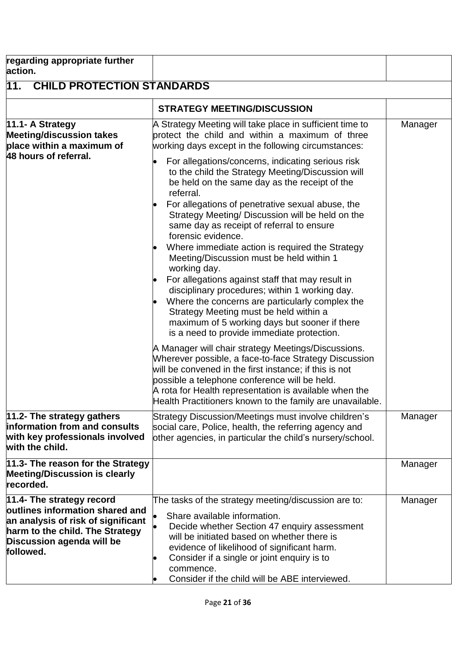<span id="page-20-0"></span>

| regarding appropriate further<br>action.                                                                                                                                        |                                                                                                                                                                                                                                                                                                                                                                                                                                                                                                                                                                                                                                                                                                                                                                  |         |
|---------------------------------------------------------------------------------------------------------------------------------------------------------------------------------|------------------------------------------------------------------------------------------------------------------------------------------------------------------------------------------------------------------------------------------------------------------------------------------------------------------------------------------------------------------------------------------------------------------------------------------------------------------------------------------------------------------------------------------------------------------------------------------------------------------------------------------------------------------------------------------------------------------------------------------------------------------|---------|
| $\overline{11}$ .<br><b>CHILD PROTECTION STANDARDS</b>                                                                                                                          |                                                                                                                                                                                                                                                                                                                                                                                                                                                                                                                                                                                                                                                                                                                                                                  |         |
|                                                                                                                                                                                 | <b>STRATEGY MEETING/DISCUSSION</b>                                                                                                                                                                                                                                                                                                                                                                                                                                                                                                                                                                                                                                                                                                                               |         |
| 11.1- A Strategy<br><b>Meeting/discussion takes</b><br>place within a maximum of                                                                                                | A Strategy Meeting will take place in sufficient time to<br>protect the child and within a maximum of three<br>working days except in the following circumstances:                                                                                                                                                                                                                                                                                                                                                                                                                                                                                                                                                                                               | Manager |
| 48 hours of referral.                                                                                                                                                           | For allegations/concerns, indicating serious risk<br>to the child the Strategy Meeting/Discussion will<br>be held on the same day as the receipt of the<br>referral.<br>For allegations of penetrative sexual abuse, the<br>Strategy Meeting/ Discussion will be held on the<br>same day as receipt of referral to ensure<br>forensic evidence.<br>Where immediate action is required the Strategy<br>Meeting/Discussion must be held within 1<br>working day.<br>For allegations against staff that may result in<br>disciplinary procedures; within 1 working day.<br>Where the concerns are particularly complex the<br>Strategy Meeting must be held within a<br>maximum of 5 working days but sooner if there<br>is a need to provide immediate protection. |         |
|                                                                                                                                                                                 | A Manager will chair strategy Meetings/Discussions.<br>Wherever possible, a face-to-face Strategy Discussion<br>will be convened in the first instance; if this is not<br>possible a telephone conference will be held.<br>A rota for Health representation is available when the<br>Health Practitioners known to the family are unavailable.                                                                                                                                                                                                                                                                                                                                                                                                                   |         |
| 11.2- The strategy gathers<br>information from and consults<br>with key professionals involved<br>with the child.                                                               | Strategy Discussion/Meetings must involve children's<br>social care, Police, health, the referring agency and<br>other agencies, in particular the child's nursery/school.                                                                                                                                                                                                                                                                                                                                                                                                                                                                                                                                                                                       | Manager |
| 11.3- The reason for the Strategy<br><b>Meeting/Discussion is clearly</b><br>recorded.                                                                                          |                                                                                                                                                                                                                                                                                                                                                                                                                                                                                                                                                                                                                                                                                                                                                                  | Manager |
| 11.4- The strategy record<br>outlines information shared and<br>an analysis of risk of significant<br>harm to the child. The Strategy<br>Discussion agenda will be<br>followed. | The tasks of the strategy meeting/discussion are to:<br>Share available information.<br>Decide whether Section 47 enquiry assessment<br>will be initiated based on whether there is<br>evidence of likelihood of significant harm.<br>Consider if a single or joint enquiry is to<br>commence.<br>Consider if the child will be ABE interviewed.                                                                                                                                                                                                                                                                                                                                                                                                                 | Manager |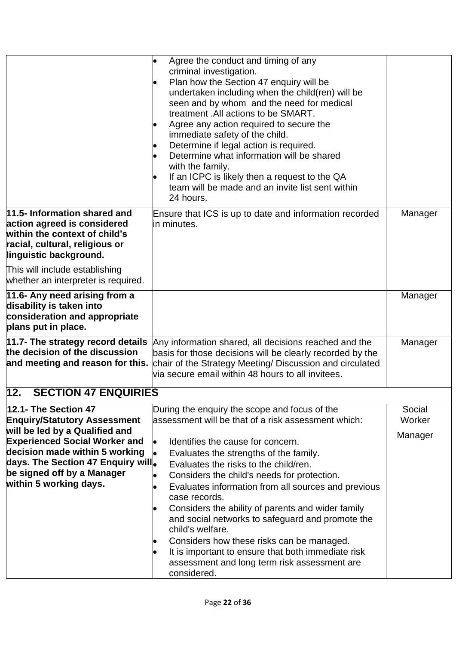<span id="page-21-0"></span>

|                                                                                                                                                                                                                                                                       | Agree the conduct and timing of any<br>criminal investigation.<br>Plan how the Section 47 enquiry will be<br>undertaken including when the child(ren) will be<br>seen and by whom and the need for medical<br>treatment . All actions to be SMART.<br>Agree any action required to secure the<br>immediate safety of the child.<br>Determine if legal action is required.<br>Determine what information will be shared<br>with the family.<br>If an ICPC is likely then a request to the QA<br>team will be made and an invite list sent within<br>24 hours.                                                                                       |                             |
|-----------------------------------------------------------------------------------------------------------------------------------------------------------------------------------------------------------------------------------------------------------------------|----------------------------------------------------------------------------------------------------------------------------------------------------------------------------------------------------------------------------------------------------------------------------------------------------------------------------------------------------------------------------------------------------------------------------------------------------------------------------------------------------------------------------------------------------------------------------------------------------------------------------------------------------|-----------------------------|
| 11.5- Information shared and<br>action agreed is considered<br>within the context of child's<br>racial, cultural, religious or<br>linguistic background.                                                                                                              | Ensure that ICS is up to date and information recorded<br>in minutes.                                                                                                                                                                                                                                                                                                                                                                                                                                                                                                                                                                              | Manager                     |
| This will include establishing<br>whether an interpreter is required.                                                                                                                                                                                                 |                                                                                                                                                                                                                                                                                                                                                                                                                                                                                                                                                                                                                                                    |                             |
| 11.6- Any need arising from a<br>disability is taken into<br>consideration and appropriate<br>plans put in place.                                                                                                                                                     |                                                                                                                                                                                                                                                                                                                                                                                                                                                                                                                                                                                                                                                    | Manager                     |
| 11.7- The strategy record details<br>the decision of the discussion<br>and meeting and reason for this.                                                                                                                                                               | Any information shared, all decisions reached and the<br>basis for those decisions will be clearly recorded by the<br>chair of the Strategy Meeting/ Discussion and circulated<br>via secure email within 48 hours to all invitees.                                                                                                                                                                                                                                                                                                                                                                                                                | Manager                     |
| 12.<br><b>SECTION 47 ENQUIRIES</b>                                                                                                                                                                                                                                    |                                                                                                                                                                                                                                                                                                                                                                                                                                                                                                                                                                                                                                                    |                             |
| 12.1- The Section 47<br><b>Enquiry/Statutory Assessment</b><br>will be led by a Qualified and<br><b>Experienced Social Worker and</b><br>decision made within 5 working<br>days. The Section 47 Enquiry will.<br>be signed off by a Manager<br>within 5 working days. | During the enquiry the scope and focus of the<br>assessment will be that of a risk assessment which:<br>Identifies the cause for concern.<br>Evaluates the strengths of the family.<br>Evaluates the risks to the child/ren.<br>Considers the child's needs for protection.<br>Evaluates information from all sources and previous<br>case records.<br>Considers the ability of parents and wider family<br>and social networks to safeguard and promote the<br>child's welfare.<br>Considers how these risks can be managed.<br>It is important to ensure that both immediate risk<br>assessment and long term risk assessment are<br>considered. | Social<br>Worker<br>Manager |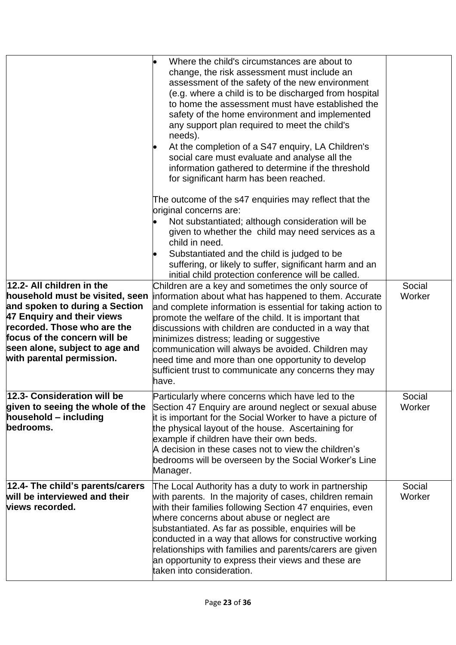|                                                                                                                                                                                                                                                            | Where the child's circumstances are about to                                                                                                                                                                                                                                                                                                                                                                                                                                                                             |                  |
|------------------------------------------------------------------------------------------------------------------------------------------------------------------------------------------------------------------------------------------------------------|--------------------------------------------------------------------------------------------------------------------------------------------------------------------------------------------------------------------------------------------------------------------------------------------------------------------------------------------------------------------------------------------------------------------------------------------------------------------------------------------------------------------------|------------------|
|                                                                                                                                                                                                                                                            | change, the risk assessment must include an<br>assessment of the safety of the new environment<br>(e.g. where a child is to be discharged from hospital<br>to home the assessment must have established the<br>safety of the home environment and implemented<br>any support plan required to meet the child's<br>needs).<br>At the completion of a S47 enquiry, LA Children's<br>social care must evaluate and analyse all the<br>information gathered to determine if the threshold                                    |                  |
|                                                                                                                                                                                                                                                            | for significant harm has been reached.<br>The outcome of the s47 enquiries may reflect that the<br>original concerns are:<br>Not substantiated; although consideration will be<br>given to whether the child may need services as a<br>child in need.<br>Substantiated and the child is judged to be<br>suffering, or likely to suffer, significant harm and an<br>initial child protection conference will be called.                                                                                                   |                  |
| 12.2- All children in the<br>household must be visited, seen<br>and spoken to during a Section<br>47 Enquiry and their views<br>recorded. Those who are the<br>focus of the concern will be<br>seen alone, subject to age and<br>with parental permission. | Children are a key and sometimes the only source of<br>information about what has happened to them. Accurate<br>and complete information is essential for taking action to<br>promote the welfare of the child. It is important that<br>discussions with children are conducted in a way that<br>minimizes distress; leading or suggestive<br>communication will always be avoided. Children may<br>need time and more than one opportunity to develop<br>sufficient trust to communicate any concerns they may<br>have. | Social<br>Worker |
| 12.3- Consideration will be<br>given to seeing the whole of the<br>household - including<br>bedrooms.                                                                                                                                                      | Particularly where concerns which have led to the<br>Section 47 Enquiry are around neglect or sexual abuse<br>it is important for the Social Worker to have a picture of<br>the physical layout of the house. Ascertaining for<br>example if children have their own beds.<br>A decision in these cases not to view the children's<br>bedrooms will be overseen by the Social Worker's Line<br>Manager.                                                                                                                  | Social<br>Worker |
| 12.4- The child's parents/carers<br>will be interviewed and their<br>views recorded.                                                                                                                                                                       | The Local Authority has a duty to work in partnership<br>with parents. In the majority of cases, children remain<br>with their families following Section 47 enquiries, even<br>where concerns about abuse or neglect are<br>substantiated. As far as possible, enquiries will be<br>conducted in a way that allows for constructive working<br>relationships with families and parents/carers are given<br>an opportunity to express their views and these are<br>taken into consideration.                             | Social<br>Worker |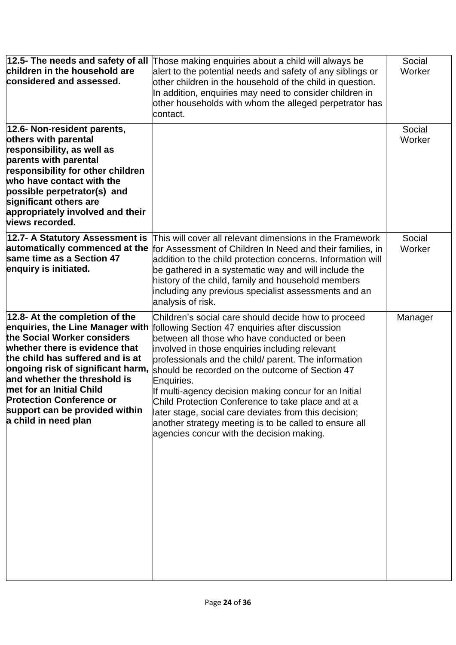| 12.5- The needs and safety of all<br>children in the household are<br>considered and assessed.                                                                                                                                                                                                                                                                        | Those making enquiries about a child will always be<br>alert to the potential needs and safety of any siblings or<br>other children in the household of the child in question.<br>In addition, enquiries may need to consider children in<br>other households with whom the alleged perpetrator has<br>contact.                                                                                                                                                                                                                                                                                                  | Social<br>Worker |
|-----------------------------------------------------------------------------------------------------------------------------------------------------------------------------------------------------------------------------------------------------------------------------------------------------------------------------------------------------------------------|------------------------------------------------------------------------------------------------------------------------------------------------------------------------------------------------------------------------------------------------------------------------------------------------------------------------------------------------------------------------------------------------------------------------------------------------------------------------------------------------------------------------------------------------------------------------------------------------------------------|------------------|
| 12.6- Non-resident parents,<br>others with parental<br>responsibility, as well as<br>parents with parental<br>responsibility for other children<br>who have contact with the<br>possible perpetrator(s) and<br>significant others are<br>appropriately involved and their<br>views recorded.                                                                          |                                                                                                                                                                                                                                                                                                                                                                                                                                                                                                                                                                                                                  | Social<br>Worker |
| 12.7- A Statutory Assessment is<br>automatically commenced at the<br>same time as a Section 47<br>enquiry is initiated.                                                                                                                                                                                                                                               | This will cover all relevant dimensions in the Framework<br>for Assessment of Children In Need and their families, in<br>addition to the child protection concerns. Information will<br>be gathered in a systematic way and will include the<br>history of the child, family and household members<br>including any previous specialist assessments and an<br>analysis of risk.                                                                                                                                                                                                                                  | Social<br>Worker |
| 12.8- At the completion of the<br>enquiries, the Line Manager with<br>the Social Worker considers<br>whether there is evidence that<br>the child has suffered and is at<br>ongoing risk of significant harm,<br>and whether the threshold is<br>met for an Initial Child<br><b>Protection Conference or</b><br>support can be provided within<br>a child in need plan | Children's social care should decide how to proceed<br>following Section 47 enquiries after discussion<br>between all those who have conducted or been<br>involved in those enquiries including relevant<br>professionals and the child/ parent. The information<br>should be recorded on the outcome of Section 47<br>Enquiries.<br>If multi-agency decision making concur for an Initial<br>Child Protection Conference to take place and at a<br>later stage, social care deviates from this decision;<br>another strategy meeting is to be called to ensure all<br>agencies concur with the decision making. | Manager          |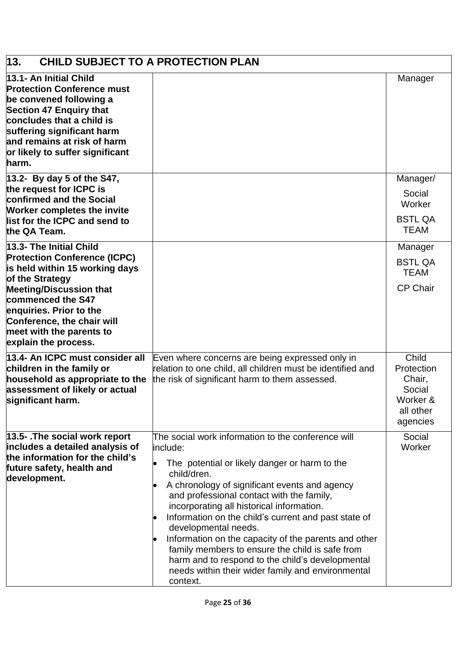<span id="page-24-0"></span>

| 13.<br><b>CHILD SUBJECT TO A PROTECTION PLAN</b>                                                                                                                                                                                                                                        |                                                                                                                                                                                                                                                                                                                                                                                                                                                                                                                                                                                           |                                                                              |
|-----------------------------------------------------------------------------------------------------------------------------------------------------------------------------------------------------------------------------------------------------------------------------------------|-------------------------------------------------------------------------------------------------------------------------------------------------------------------------------------------------------------------------------------------------------------------------------------------------------------------------------------------------------------------------------------------------------------------------------------------------------------------------------------------------------------------------------------------------------------------------------------------|------------------------------------------------------------------------------|
| 13.1- An Initial Child<br><b>Protection Conference must</b><br>be convened following a<br><b>Section 47 Enquiry that</b><br>concludes that a child is<br>suffering significant harm<br>and remains at risk of harm<br>or likely to suffer significant<br>harm.                          |                                                                                                                                                                                                                                                                                                                                                                                                                                                                                                                                                                                           | Manager                                                                      |
| $ 13.2-$ By day 5 of the S47,<br>the request for ICPC is<br>confirmed and the Social<br><b>Worker completes the invite</b><br>list for the ICPC and send to<br>the QA Team.                                                                                                             |                                                                                                                                                                                                                                                                                                                                                                                                                                                                                                                                                                                           | Manager/<br>Social<br>Worker<br><b>BSTL QA</b><br><b>TEAM</b>                |
| 13.3- The Initial Child<br><b>Protection Conference (ICPC)</b><br>is held within 15 working days<br>of the Strategy<br><b>Meeting/Discussion that</b><br>commenced the S47<br>enquiries. Prior to the<br>Conference, the chair will<br>meet with the parents to<br>explain the process. |                                                                                                                                                                                                                                                                                                                                                                                                                                                                                                                                                                                           | Manager<br><b>BSTL QA</b><br><b>TEAM</b><br><b>CP Chair</b>                  |
| 13.4- An ICPC must consider all<br>children in the family or<br>household as appropriate to the<br>assessment of likely or actual<br>significant harm.                                                                                                                                  | Even where concerns are being expressed only in<br>relation to one child, all children must be identified and<br>the risk of significant harm to them assessed.                                                                                                                                                                                                                                                                                                                                                                                                                           | Child<br>Protection<br>Chair,<br>Social<br>Worker &<br>all other<br>agencies |
| 13.5- .The social work report<br>includes a detailed analysis of<br>the information for the child's<br>future safety, health and<br>development.                                                                                                                                        | The social work information to the conference will<br>include:<br>The potential or likely danger or harm to the<br>child/dren.<br>A chronology of significant events and agency<br>and professional contact with the family,<br>incorporating all historical information.<br>Information on the child's current and past state of<br>developmental needs.<br>Information on the capacity of the parents and other<br>family members to ensure the child is safe from<br>harm and to respond to the child's developmental<br>needs within their wider family and environmental<br>context. | Social<br>Worker                                                             |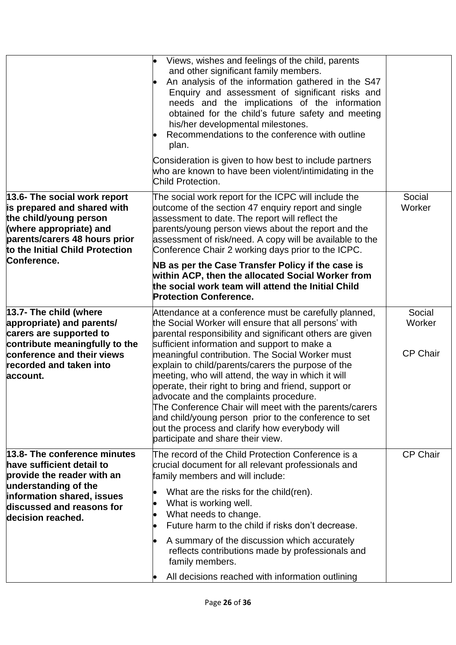|                                                                                                                                                                                                     | Views, wishes and feelings of the child, parents<br>and other significant family members.<br>An analysis of the information gathered in the S47<br>Enquiry and assessment of significant risks and<br>needs and the implications of the information<br>obtained for the child's future safety and meeting<br>his/her developmental milestones.<br>Recommendations to the conference with outline<br>plan.<br>Consideration is given to how best to include partners<br>who are known to have been violent/intimidating in the                                                                                                                                                                        |                                     |
|-----------------------------------------------------------------------------------------------------------------------------------------------------------------------------------------------------|------------------------------------------------------------------------------------------------------------------------------------------------------------------------------------------------------------------------------------------------------------------------------------------------------------------------------------------------------------------------------------------------------------------------------------------------------------------------------------------------------------------------------------------------------------------------------------------------------------------------------------------------------------------------------------------------------|-------------------------------------|
| 13.6- The social work report<br>is prepared and shared with<br>the child/young person<br>(where appropriate) and<br>parents/carers 48 hours prior<br>to the Initial Child Protection<br>Conference. | Child Protection.<br>The social work report for the ICPC will include the<br>outcome of the section 47 enquiry report and single<br>assessment to date. The report will reflect the<br>parents/young person views about the report and the<br>assessment of risk/need. A copy will be available to the<br>Conference Chair 2 working days prior to the ICPC.                                                                                                                                                                                                                                                                                                                                         | Social<br>Worker                    |
|                                                                                                                                                                                                     | NB as per the Case Transfer Policy if the case is<br>within ACP, then the allocated Social Worker from<br>the social work team will attend the Initial Child<br><b>Protection Conference.</b>                                                                                                                                                                                                                                                                                                                                                                                                                                                                                                        |                                     |
| 13.7- The child (where<br>appropriate) and parents/<br>carers are supported to<br>contribute meaningfully to the<br>conference and their views<br>recorded and taken into<br>account.               | Attendance at a conference must be carefully planned,<br>the Social Worker will ensure that all persons' with<br>parental responsibility and significant others are given<br>sufficient information and support to make a<br>meaningful contribution. The Social Worker must<br>explain to child/parents/carers the purpose of the<br>meeting, who will attend, the way in which it will<br>operate, their right to bring and friend, support or<br>advocate and the complaints procedure.<br>The Conference Chair will meet with the parents/carers<br>and child/young person prior to the conference to set<br>out the process and clarify how everybody will<br>participate and share their view. | Social<br>Worker<br><b>CP Chair</b> |
| 13.8- The conference minutes<br>have sufficient detail to<br>provide the reader with an<br>understanding of the<br>information shared, issues<br>discussed and reasons for<br>decision reached.     | The record of the Child Protection Conference is a<br>crucial document for all relevant professionals and<br>family members and will include:<br>What are the risks for the child(ren).<br>What is working well.<br>What needs to change.<br>Future harm to the child if risks don't decrease.<br>A summary of the discussion which accurately<br>reflects contributions made by professionals and<br>family members.<br>All decisions reached with information outlining                                                                                                                                                                                                                            | <b>CP Chair</b>                     |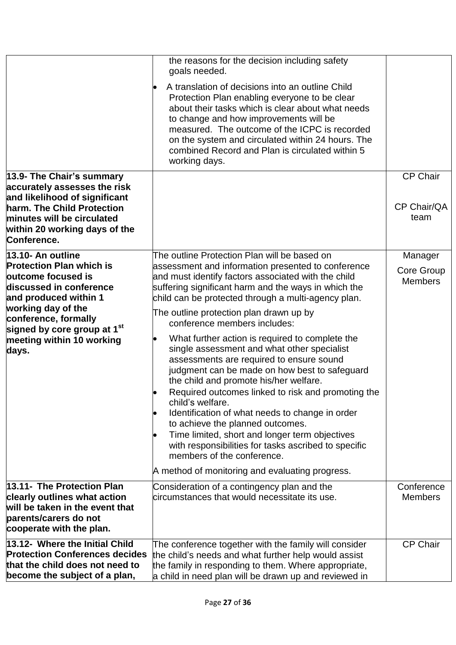|                                                                                                                                                    | the reasons for the decision including safety<br>goals needed.                                                                                                                                                                                                                                                                                                                                                                                                                                                                                 |                                         |
|----------------------------------------------------------------------------------------------------------------------------------------------------|------------------------------------------------------------------------------------------------------------------------------------------------------------------------------------------------------------------------------------------------------------------------------------------------------------------------------------------------------------------------------------------------------------------------------------------------------------------------------------------------------------------------------------------------|-----------------------------------------|
|                                                                                                                                                    | A translation of decisions into an outline Child<br>Protection Plan enabling everyone to be clear<br>about their tasks which is clear about what needs<br>to change and how improvements will be<br>measured. The outcome of the ICPC is recorded<br>on the system and circulated within 24 hours. The<br>combined Record and Plan is circulated within 5<br>working days.                                                                                                                                                                     |                                         |
| 13.9- The Chair's summary<br>accurately assesses the risk                                                                                          |                                                                                                                                                                                                                                                                                                                                                                                                                                                                                                                                                | <b>CP Chair</b>                         |
| and likelihood of significant<br>harm. The Child Protection<br>minutes will be circulated<br>within 20 working days of the<br>Conference.          |                                                                                                                                                                                                                                                                                                                                                                                                                                                                                                                                                | CP Chair/QA<br>team                     |
| 13.10- An outline<br><b>Protection Plan which is</b><br>outcome focused is<br>discussed in conference<br>and produced within 1                     | The outline Protection Plan will be based on<br>assessment and information presented to conference<br>and must identify factors associated with the child<br>suffering significant harm and the ways in which the<br>child can be protected through a multi-agency plan.                                                                                                                                                                                                                                                                       | Manager<br>Core Group<br><b>Members</b> |
| working day of the<br>conference, formally                                                                                                         | The outline protection plan drawn up by<br>conference members includes:                                                                                                                                                                                                                                                                                                                                                                                                                                                                        |                                         |
| signed by core group at 1 <sup>st</sup><br>meeting within 10 working<br>days.                                                                      | What further action is required to complete the<br>single assessment and what other specialist<br>assessments are required to ensure sound<br>judgment can be made on how best to safeguard<br>the child and promote his/her welfare.<br>Required outcomes linked to risk and promoting the<br>child's welfare.<br>Identification of what needs to change in order<br>to achieve the planned outcomes.<br>Time limited, short and longer term objectives<br>with responsibilities for tasks ascribed to specific<br>members of the conference. |                                         |
|                                                                                                                                                    | A method of monitoring and evaluating progress.                                                                                                                                                                                                                                                                                                                                                                                                                                                                                                |                                         |
| 13.11- The Protection Plan<br>clearly outlines what action<br>will be taken in the event that<br>parents/carers do not<br>cooperate with the plan. | Consideration of a contingency plan and the<br>circumstances that would necessitate its use.                                                                                                                                                                                                                                                                                                                                                                                                                                                   | Conference<br><b>Members</b>            |
| 13.12- Where the Initial Child<br><b>Protection Conferences decides</b><br>that the child does not need to<br>become the subject of a plan,        | The conference together with the family will consider<br>the child's needs and what further help would assist<br>the family in responding to them. Where appropriate,<br>a child in need plan will be drawn up and reviewed in                                                                                                                                                                                                                                                                                                                 | <b>CP Chair</b>                         |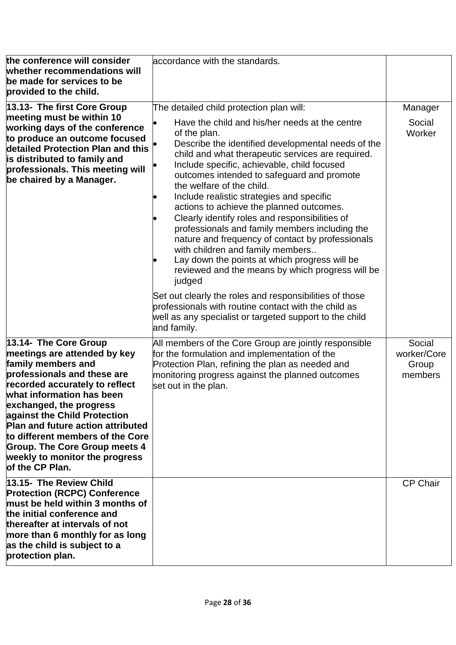| the conference will consider<br>whether recommendations will<br>be made for services to be<br>provided to the child.<br>13.13- The first Core Group<br>meeting must be within 10<br>working days of the conference<br>to produce an outcome focused<br>detailed Protection Plan and this<br>is distributed to family and<br>professionals. This meeting will<br>be chaired by a Manager.                          | accordance with the standards.<br>The detailed child protection plan will:<br>Have the child and his/her needs at the centre<br>of the plan.<br>Describe the identified developmental needs of the<br>child and what therapeutic services are required.<br>Include specific, achievable, child focused<br>outcomes intended to safeguard and promote<br>the welfare of the child.                                                                                                                                                                                                             | Manager<br>Social<br>Worker               |
|-------------------------------------------------------------------------------------------------------------------------------------------------------------------------------------------------------------------------------------------------------------------------------------------------------------------------------------------------------------------------------------------------------------------|-----------------------------------------------------------------------------------------------------------------------------------------------------------------------------------------------------------------------------------------------------------------------------------------------------------------------------------------------------------------------------------------------------------------------------------------------------------------------------------------------------------------------------------------------------------------------------------------------|-------------------------------------------|
|                                                                                                                                                                                                                                                                                                                                                                                                                   | Include realistic strategies and specific<br>actions to achieve the planned outcomes.<br>Clearly identify roles and responsibilities of<br>professionals and family members including the<br>nature and frequency of contact by professionals<br>with children and family members<br>Lay down the points at which progress will be<br>reviewed and the means by which progress will be<br>judged<br>Set out clearly the roles and responsibilities of those<br>professionals with routine contact with the child as<br>well as any specialist or targeted support to the child<br>and family. |                                           |
| 13.14- The Core Group<br>meetings are attended by key<br>family members and<br>professionals and these are<br>recorded accurately to reflect<br>what information has been<br>exchanged, the progress<br>against the Child Protection<br><b>Plan and future action attributed</b><br>to different members of the Core<br><b>Group. The Core Group meets 4</b><br>weekly to monitor the progress<br>of the CP Plan. | All members of the Core Group are jointly responsible<br>for the formulation and implementation of the<br>Protection Plan, refining the plan as needed and<br>monitoring progress against the planned outcomes<br>set out in the plan.                                                                                                                                                                                                                                                                                                                                                        | Social<br>worker/Core<br>Group<br>members |
| 13.15- The Review Child<br><b>Protection (RCPC) Conference</b><br>must be held within 3 months of<br>the initial conference and<br>thereafter at intervals of not<br>more than 6 monthly for as long<br>as the child is subject to a<br>protection plan.                                                                                                                                                          |                                                                                                                                                                                                                                                                                                                                                                                                                                                                                                                                                                                               | <b>CP Chair</b>                           |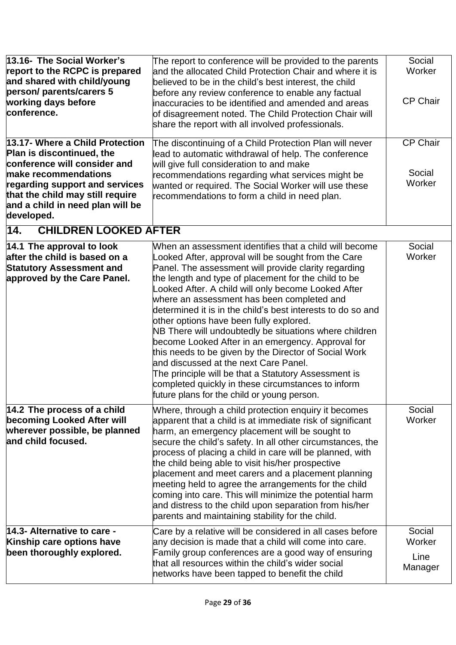<span id="page-28-0"></span>

| 13.16- The Social Worker's<br>report to the RCPC is prepared<br>and shared with child/young<br>person/ parents/carers 5<br>working days before<br>conference.<br>13.17- Where a Child Protection          | The report to conference will be provided to the parents<br>and the allocated Child Protection Chair and where it is<br>believed to be in the child's best interest, the child<br>before any review conference to enable any factual<br>inaccuracies to be identified and amended and areas<br>of disagreement noted. The Child Protection Chair will<br>share the report with all involved professionals.<br>The discontinuing of a Child Protection Plan will never                                                                                                                                                                                                                                                                                                                                                      | Social<br>Worker<br><b>CP Chair</b><br><b>CP Chair</b> |
|-----------------------------------------------------------------------------------------------------------------------------------------------------------------------------------------------------------|----------------------------------------------------------------------------------------------------------------------------------------------------------------------------------------------------------------------------------------------------------------------------------------------------------------------------------------------------------------------------------------------------------------------------------------------------------------------------------------------------------------------------------------------------------------------------------------------------------------------------------------------------------------------------------------------------------------------------------------------------------------------------------------------------------------------------|--------------------------------------------------------|
| Plan is discontinued, the<br>conference will consider and<br>make recommendations<br>regarding support and services<br>that the child may still require<br>and a child in need plan will be<br>developed. | lead to automatic withdrawal of help. The conference<br>will give full consideration to and make<br>recommendations regarding what services might be<br>wanted or required. The Social Worker will use these<br>recommendations to form a child in need plan.                                                                                                                                                                                                                                                                                                                                                                                                                                                                                                                                                              | Social<br>Worker                                       |
| 14.<br><b>CHILDREN LOOKED AFTER</b>                                                                                                                                                                       |                                                                                                                                                                                                                                                                                                                                                                                                                                                                                                                                                                                                                                                                                                                                                                                                                            |                                                        |
| 14.1 The approval to look<br>after the child is based on a<br><b>Statutory Assessment and</b><br>approved by the Care Panel.                                                                              | When an assessment identifies that a child will become<br>Looked After, approval will be sought from the Care<br>Panel. The assessment will provide clarity regarding<br>the length and type of placement for the child to be<br>Looked After. A child will only become Looked After<br>where an assessment has been completed and<br>determined it is in the child's best interests to do so and<br>other options have been fully explored.<br>NB There will undoubtedly be situations where children<br>become Looked After in an emergency. Approval for<br>this needs to be given by the Director of Social Work<br>and discussed at the next Care Panel.<br>The principle will be that a Statutory Assessment is<br>completed quickly in these circumstances to inform<br>future plans for the child or young person. | Social<br>Worker                                       |
| 14.2 The process of a child<br>becoming Looked After will<br>wherever possible, be planned<br>and child focused.                                                                                          | Where, through a child protection enquiry it becomes<br>apparent that a child is at immediate risk of significant<br>harm, an emergency placement will be sought to<br>secure the child's safety. In all other circumstances, the<br>process of placing a child in care will be planned, with<br>the child being able to visit his/her prospective<br>placement and meet carers and a placement planning<br>meeting held to agree the arrangements for the child<br>coming into care. This will minimize the potential harm<br>and distress to the child upon separation from his/her<br>parents and maintaining stability for the child.                                                                                                                                                                                  | Social<br>Worker                                       |
| 14.3- Alternative to care -<br>Kinship care options have<br>been thoroughly explored.                                                                                                                     | Care by a relative will be considered in all cases before<br>any decision is made that a child will come into care.<br>Family group conferences are a good way of ensuring<br>that all resources within the child's wider social<br>networks have been tapped to benefit the child                                                                                                                                                                                                                                                                                                                                                                                                                                                                                                                                         | Social<br>Worker<br>Line<br>Manager                    |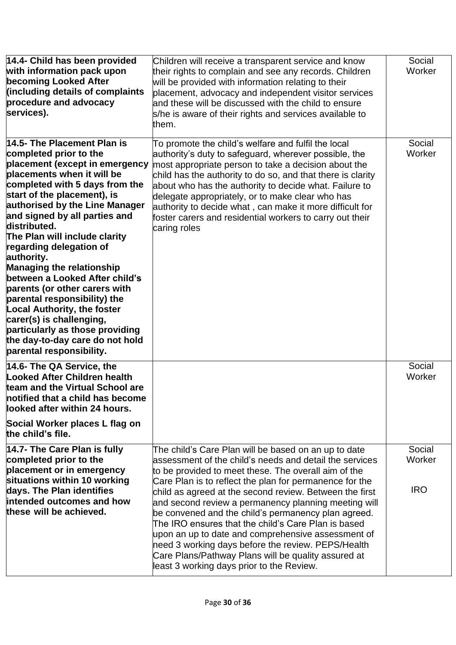| 14.4- Child has been provided<br>with information pack upon<br>becoming Looked After<br>(including details of complaints<br>procedure and advocacy<br>services).                                                                                                                                                                                                                                                                                                                                                                                                                                                                                               | Children will receive a transparent service and know<br>their rights to complain and see any records. Children<br>will be provided with information relating to their<br>placement, advocacy and independent visitor services<br>and these will be discussed with the child to ensure<br>s/he is aware of their rights and services available to<br>them.                                                                                                                                                                                                                                                                                                                           | Social<br>Worker               |
|----------------------------------------------------------------------------------------------------------------------------------------------------------------------------------------------------------------------------------------------------------------------------------------------------------------------------------------------------------------------------------------------------------------------------------------------------------------------------------------------------------------------------------------------------------------------------------------------------------------------------------------------------------------|-------------------------------------------------------------------------------------------------------------------------------------------------------------------------------------------------------------------------------------------------------------------------------------------------------------------------------------------------------------------------------------------------------------------------------------------------------------------------------------------------------------------------------------------------------------------------------------------------------------------------------------------------------------------------------------|--------------------------------|
| 14.5- The Placement Plan is<br>completed prior to the<br>placement (except in emergency<br>placements when it will be<br>completed with 5 days from the<br>start of the placement), is<br>authorised by the Line Manager<br>and signed by all parties and<br>distributed.<br>The Plan will include clarity<br>regarding delegation of<br>authority.<br><b>Managing the relationship</b><br>between a Looked After child's<br>parents (or other carers with<br>parental responsibility) the<br><b>Local Authority, the foster</b><br>carer(s) is challenging,<br>particularly as those providing<br>the day-to-day care do not hold<br>parental responsibility. | To promote the child's welfare and fulfil the local<br>authority's duty to safeguard, wherever possible, the<br>most appropriate person to take a decision about the<br>child has the authority to do so, and that there is clarity<br>about who has the authority to decide what. Failure to<br>delegate appropriately, or to make clear who has<br>authority to decide what, can make it more difficult for<br>foster carers and residential workers to carry out their<br>caring roles                                                                                                                                                                                           | Social<br>Worker               |
| 14.6- The QA Service, the<br><b>Looked After Children health</b><br>team and the Virtual School are<br>notified that a child has become<br>looked after within 24 hours.                                                                                                                                                                                                                                                                                                                                                                                                                                                                                       |                                                                                                                                                                                                                                                                                                                                                                                                                                                                                                                                                                                                                                                                                     | Social<br>Worker               |
| Social Worker places L flag on<br>the child's file.                                                                                                                                                                                                                                                                                                                                                                                                                                                                                                                                                                                                            |                                                                                                                                                                                                                                                                                                                                                                                                                                                                                                                                                                                                                                                                                     |                                |
| 14.7- The Care Plan is fully<br>completed prior to the<br>placement or in emergency<br>situations within 10 working<br>days. The Plan identifies<br>intended outcomes and how<br>these will be achieved.                                                                                                                                                                                                                                                                                                                                                                                                                                                       | The child's Care Plan will be based on an up to date<br>assessment of the child's needs and detail the services<br>to be provided to meet these. The overall aim of the<br>Care Plan is to reflect the plan for permanence for the<br>child as agreed at the second review. Between the first<br>and second review a permanency planning meeting will<br>be convened and the child's permanency plan agreed.<br>The IRO ensures that the child's Care Plan is based<br>upon an up to date and comprehensive assessment of<br>heed 3 working days before the review. PEPS/Health<br>Care Plans/Pathway Plans will be quality assured at<br>least 3 working days prior to the Review. | Social<br>Worker<br><b>IRO</b> |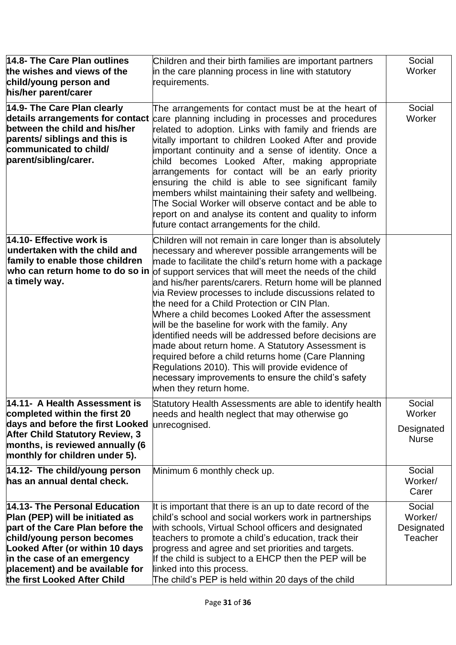| 14.8- The Care Plan outlines<br>the wishes and views of the | Children and their birth families are important partners<br>in the care planning process in line with statutory | Social<br>Worker |
|-------------------------------------------------------------|-----------------------------------------------------------------------------------------------------------------|------------------|
| child/young person and                                      | requirements.                                                                                                   |                  |
| his/her parent/carer                                        |                                                                                                                 |                  |
| 14.9- The Care Plan clearly                                 | The arrangements for contact must be at the heart of                                                            | Social           |
| details arrangements for contact                            | care planning including in processes and procedures                                                             | Worker           |
| between the child and his/her                               | related to adoption. Links with family and friends are                                                          |                  |
| parents/ siblings and this is                               | vitally important to children Looked After and provide                                                          |                  |
| communicated to child/                                      | important continuity and a sense of identity. Once a                                                            |                  |
| parent/sibling/carer.                                       |                                                                                                                 |                  |
|                                                             | child becomes Looked After, making appropriate                                                                  |                  |
|                                                             | arrangements for contact will be an early priority                                                              |                  |
|                                                             | ensuring the child is able to see significant family                                                            |                  |
|                                                             | members whilst maintaining their safety and wellbeing.                                                          |                  |
|                                                             | The Social Worker will observe contact and be able to                                                           |                  |
|                                                             | report on and analyse its content and quality to inform                                                         |                  |
|                                                             | future contact arrangements for the child.                                                                      |                  |
| 14.10- Effective work is                                    | Children will not remain in care longer than is absolutely                                                      |                  |
| $\,$ undertaken with the child and                          | necessary and wherever possible arrangements will be                                                            |                  |
| family to enable those children                             | made to facilitate the child's return home with a package                                                       |                  |
| who can return home to do so in                             | of support services that will meet the needs of the child                                                       |                  |
| a timely way.                                               | and his/her parents/carers. Return home will be planned                                                         |                  |
|                                                             | via Review processes to include discussions related to                                                          |                  |
|                                                             | the need for a Child Protection or CIN Plan.                                                                    |                  |
|                                                             | Where a child becomes Looked After the assessment                                                               |                  |
|                                                             | will be the baseline for work with the family. Any                                                              |                  |
|                                                             | identified needs will be addressed before decisions are                                                         |                  |
|                                                             | made about return home. A Statutory Assessment is                                                               |                  |
|                                                             | required before a child returns home (Care Planning                                                             |                  |
|                                                             | Regulations 2010). This will provide evidence of                                                                |                  |
|                                                             | necessary improvements to ensure the child's safety                                                             |                  |
|                                                             | when they return home.                                                                                          |                  |
| 14.11- A Health Assessment is                               | Statutory Health Assessments are able to identify health                                                        | Social           |
| completed within the first 20                               | needs and health neglect that may otherwise go                                                                  | Worker           |
| days and before the first Looked                            | unrecognised.                                                                                                   |                  |
| <b>After Child Statutory Review, 3</b>                      |                                                                                                                 | Designated       |
| months, is reviewed annually (6                             |                                                                                                                 | <b>Nurse</b>     |
| monthly for children under 5).                              |                                                                                                                 |                  |
| 14.12- The child/young person                               | Minimum 6 monthly check up.                                                                                     | Social           |
| has an annual dental check.                                 |                                                                                                                 | Worker/          |
|                                                             |                                                                                                                 | Carer            |
|                                                             |                                                                                                                 |                  |
| 14.13- The Personal Education                               | It is important that there is an up to date record of the                                                       | Social           |
| Plan (PEP) will be initiated as                             | child's school and social workers work in partnerships                                                          | Worker/          |
| part of the Care Plan before the                            | with schools, Virtual School officers and designated                                                            | Designated       |
| child/young person becomes                                  | teachers to promote a child's education, track their                                                            | Teacher          |
| Looked After (or within 10 days                             | progress and agree and set priorities and targets.                                                              |                  |
| in the case of an emergency                                 | If the child is subject to a EHCP then the PEP will be                                                          |                  |
| placement) and be available for                             | linked into this process.                                                                                       |                  |
| the first Looked After Child                                | The child's PEP is held within 20 days of the child                                                             |                  |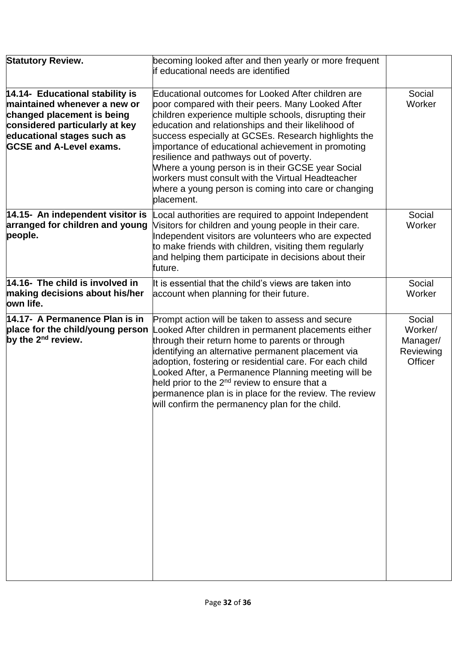| <b>Statutory Review.</b>                                                                                                                                                                        | becoming looked after and then yearly or more frequent<br>if educational needs are identified                                                                                                                                                                                                                                                                                                                                                                                                                                                                     |                                                       |
|-------------------------------------------------------------------------------------------------------------------------------------------------------------------------------------------------|-------------------------------------------------------------------------------------------------------------------------------------------------------------------------------------------------------------------------------------------------------------------------------------------------------------------------------------------------------------------------------------------------------------------------------------------------------------------------------------------------------------------------------------------------------------------|-------------------------------------------------------|
| 14.14- Educational stability is<br>maintained whenever a new or<br>changed placement is being<br>considered particularly at key<br>educational stages such as<br><b>GCSE and A-Level exams.</b> | Educational outcomes for Looked After children are<br>poor compared with their peers. Many Looked After<br>children experience multiple schools, disrupting their<br>education and relationships and their likelihood of<br>success especially at GCSEs. Research highlights the<br>importance of educational achievement in promoting<br>resilience and pathways out of poverty.<br>Where a young person is in their GCSE year Social<br>workers must consult with the Virtual Headteacher<br>where a young person is coming into care or changing<br>placement. | Social<br>Worker                                      |
| 14.15- An independent visitor is<br>arranged for children and young<br>people.                                                                                                                  | Local authorities are required to appoint Independent<br>Visitors for children and young people in their care.<br>Independent visitors are volunteers who are expected<br>to make friends with children, visiting them regularly<br>and helping them participate in decisions about their<br>future.                                                                                                                                                                                                                                                              | Social<br>Worker                                      |
| $14.16$ - The child is involved in<br>making decisions about his/her<br>own life.                                                                                                               | It is essential that the child's views are taken into<br>account when planning for their future.                                                                                                                                                                                                                                                                                                                                                                                                                                                                  | Social<br>Worker                                      |
| 14.17- A Permanence Plan is in<br>place for the child/young person<br>by the $2^{nd}$ review.                                                                                                   | Prompt action will be taken to assess and secure<br>Looked After children in permanent placements either<br>through their return home to parents or through<br>identifying an alternative permanent placement via<br>adoption, fostering or residential care. For each child<br>Looked After, a Permanence Planning meeting will be<br>held prior to the 2 <sup>nd</sup> review to ensure that a<br>permanence plan is in place for the review. The review<br>will confirm the permanency plan for the child.                                                     | Social<br>Worker/<br>Manager/<br>Reviewing<br>Officer |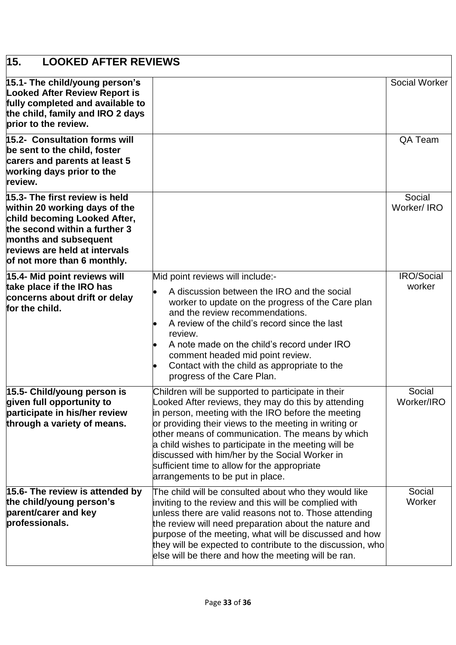<span id="page-32-0"></span>

| 15.<br><b>LOOKED AFTER REVIEWS</b>                                                                                                                                                                                        |                                                                                                                                                                                                                                                                                                                                                                                                                                                                            |                             |
|---------------------------------------------------------------------------------------------------------------------------------------------------------------------------------------------------------------------------|----------------------------------------------------------------------------------------------------------------------------------------------------------------------------------------------------------------------------------------------------------------------------------------------------------------------------------------------------------------------------------------------------------------------------------------------------------------------------|-----------------------------|
| 15.1- The child/young person's<br><b>Looked After Review Report is</b><br>fully completed and available to<br>the child, family and IRO 2 days<br>prior to the review.                                                    |                                                                                                                                                                                                                                                                                                                                                                                                                                                                            | Social Worker               |
| <b>15.2- Consultation forms will</b><br>be sent to the child, foster<br>carers and parents at least 5<br>working days prior to the<br>review.                                                                             |                                                                                                                                                                                                                                                                                                                                                                                                                                                                            | QA Team                     |
| 15.3- The first review is held<br>within 20 working days of the<br>child becoming Looked After,<br>the second within a further 3<br>months and subsequent<br>reviews are held at intervals<br>of not more than 6 monthly. |                                                                                                                                                                                                                                                                                                                                                                                                                                                                            | Social<br>Worker/IRO        |
| 15.4- Mid point reviews will<br>take place if the IRO has<br>concerns about drift or delay<br>for the child.                                                                                                              | Mid point reviews will include:-<br>A discussion between the IRO and the social<br>worker to update on the progress of the Care plan<br>and the review recommendations.<br>A review of the child's record since the last<br>review.<br>A note made on the child's record under IRO<br>comment headed mid point review.<br>Contact with the child as appropriate to the<br>progress of the Care Plan.                                                                       | <b>IRO/Social</b><br>worker |
| 15.5- Child/young person is<br>given full opportunity to<br>participate in his/her review<br>through a variety of means.                                                                                                  | Children will be supported to participate in their<br>Looked After reviews, they may do this by attending<br>in person, meeting with the IRO before the meeting<br>or providing their views to the meeting in writing or<br>other means of communication. The means by which<br>a child wishes to participate in the meeting will be<br>discussed with him/her by the Social Worker in<br>sufficient time to allow for the appropriate<br>arrangements to be put in place. | Social<br>Worker/IRO        |
| 15.6- The review is attended by<br>the child/young person's<br>parent/carer and key<br>professionals.                                                                                                                     | The child will be consulted about who they would like<br>inviting to the review and this will be complied with<br>unless there are valid reasons not to. Those attending<br>the review will need preparation about the nature and<br>purpose of the meeting, what will be discussed and how<br>they will be expected to contribute to the discussion, who<br>else will be there and how the meeting will be ran.                                                           | Social<br>Worker            |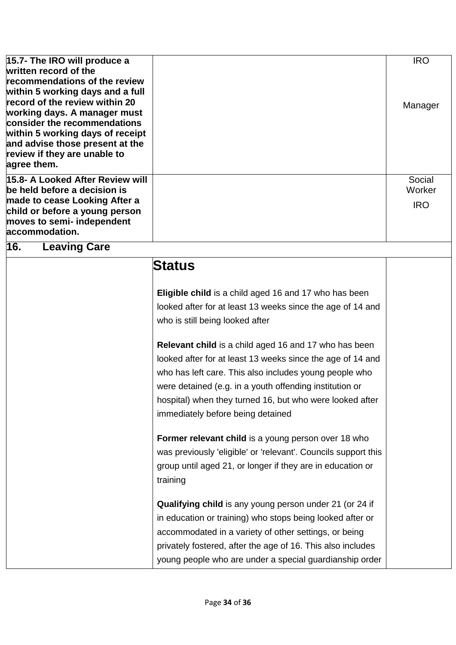<span id="page-33-0"></span>

| 15.7- The IRO will produce a<br>written record of the<br>recommendations of the review<br>within 5 working days and a full<br>record of the review within 20<br>working days. A manager must<br>consider the recommendations<br>within 5 working days of receipt<br>and advise those present at the<br>review if they are unable to<br>agree them. |                                                                                                                                                                                                                                                                                                                                                                                                                                                                                                                                                                                                                                                                                                                                                                                                                                                                                                                                                                                                                             | <b>IRO</b><br>Manager          |
|----------------------------------------------------------------------------------------------------------------------------------------------------------------------------------------------------------------------------------------------------------------------------------------------------------------------------------------------------|-----------------------------------------------------------------------------------------------------------------------------------------------------------------------------------------------------------------------------------------------------------------------------------------------------------------------------------------------------------------------------------------------------------------------------------------------------------------------------------------------------------------------------------------------------------------------------------------------------------------------------------------------------------------------------------------------------------------------------------------------------------------------------------------------------------------------------------------------------------------------------------------------------------------------------------------------------------------------------------------------------------------------------|--------------------------------|
| 15.8- A Looked After Review will<br>be held before a decision is<br>made to cease Looking After a<br>child or before a young person<br>moves to semi- independent<br>accommodation.                                                                                                                                                                |                                                                                                                                                                                                                                                                                                                                                                                                                                                                                                                                                                                                                                                                                                                                                                                                                                                                                                                                                                                                                             | Social<br>Worker<br><b>IRO</b> |
| 16.<br><b>Leaving Care</b>                                                                                                                                                                                                                                                                                                                         |                                                                                                                                                                                                                                                                                                                                                                                                                                                                                                                                                                                                                                                                                                                                                                                                                                                                                                                                                                                                                             |                                |
|                                                                                                                                                                                                                                                                                                                                                    | Status<br>Eligible child is a child aged 16 and 17 who has been<br>looked after for at least 13 weeks since the age of 14 and<br>who is still being looked after<br>Relevant child is a child aged 16 and 17 who has been<br>looked after for at least 13 weeks since the age of 14 and<br>who has left care. This also includes young people who<br>were detained (e.g. in a youth offending institution or<br>hospital) when they turned 16, but who were looked after<br>immediately before being detained<br>Former relevant child is a young person over 18 who<br>was previously 'eligible' or 'relevant'. Councils support this<br>group until aged 21, or longer if they are in education or<br>training<br>Qualifying child is any young person under 21 (or 24 if<br>in education or training) who stops being looked after or<br>accommodated in a variety of other settings, or being<br>privately fostered, after the age of 16. This also includes<br>young people who are under a special guardianship order |                                |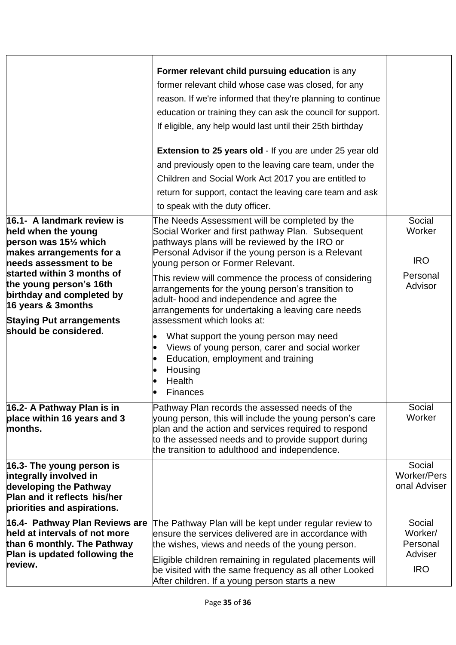|                                                                 | Former relevant child pursuing education is any                                                                 |                    |
|-----------------------------------------------------------------|-----------------------------------------------------------------------------------------------------------------|--------------------|
|                                                                 | former relevant child whose case was closed, for any                                                            |                    |
|                                                                 | reason. If we're informed that they're planning to continue                                                     |                    |
|                                                                 | education or training they can ask the council for support.                                                     |                    |
|                                                                 | If eligible, any help would last until their 25th birthday                                                      |                    |
|                                                                 |                                                                                                                 |                    |
|                                                                 | <b>Extension to 25 years old - If you are under 25 year old</b>                                                 |                    |
|                                                                 | and previously open to the leaving care team, under the                                                         |                    |
|                                                                 | Children and Social Work Act 2017 you are entitled to                                                           |                    |
|                                                                 | return for support, contact the leaving care team and ask                                                       |                    |
|                                                                 | to speak with the duty officer.                                                                                 |                    |
| 16.1- A landmark review is                                      | The Needs Assessment will be completed by the                                                                   | Social             |
| held when the young                                             | Social Worker and first pathway Plan. Subsequent                                                                | Worker             |
| person was 15 <sup>1</sup> / <sub>2</sub> which                 | pathways plans will be reviewed by the IRO or                                                                   |                    |
| makes arrangements for a<br>needs assessment to be              | Personal Advisor if the young person is a Relevant<br>young person or Former Relevant.                          | <b>IRO</b>         |
| started within 3 months of                                      |                                                                                                                 | Personal           |
| the young person's 16th                                         | This review will commence the process of considering<br>arrangements for the young person's transition to       | Advisor            |
| birthday and completed by                                       | adult- hood and independence and agree the                                                                      |                    |
| 16 years & 3months                                              | arrangements for undertaking a leaving care needs                                                               |                    |
| <b>Staying Put arrangements</b>                                 | assessment which looks at:                                                                                      |                    |
| should be considered.                                           | What support the young person may need<br>$\bullet$                                                             |                    |
|                                                                 | Views of young person, carer and social worker                                                                  |                    |
|                                                                 | Education, employment and training                                                                              |                    |
|                                                                 | Housing<br>$\bullet$                                                                                            |                    |
|                                                                 | Health                                                                                                          |                    |
|                                                                 | Finances                                                                                                        |                    |
| 16.2- A Pathway Plan is in                                      | Pathway Plan records the assessed needs of the                                                                  | Social             |
| place within 16 years and 3<br>months.                          | young person, this will include the young person's care<br>plan and the action and services required to respond | Worker             |
|                                                                 | to the assessed needs and to provide support during                                                             |                    |
|                                                                 | the transition to adulthood and independence.                                                                   |                    |
| $16.3$ - The young person is                                    |                                                                                                                 | Social             |
| integrally involved in                                          |                                                                                                                 | <b>Worker/Pers</b> |
| developing the Pathway                                          |                                                                                                                 | onal Adviser       |
| Plan and it reflects his/her<br>priorities and aspirations.     |                                                                                                                 |                    |
|                                                                 |                                                                                                                 |                    |
| 16.4- Pathway Plan Reviews are<br>held at intervals of not more | The Pathway Plan will be kept under regular review to<br>ensure the services delivered are in accordance with   | Social<br>Worker/  |
| than 6 monthly. The Pathway                                     | the wishes, views and needs of the young person.                                                                | Personal           |
| Plan is updated following the                                   | Eligible children remaining in regulated placements will                                                        | Adviser            |
| review.                                                         | be visited with the same frequency as all other Looked                                                          | <b>IRO</b>         |
|                                                                 | After children. If a young person starts a new                                                                  |                    |